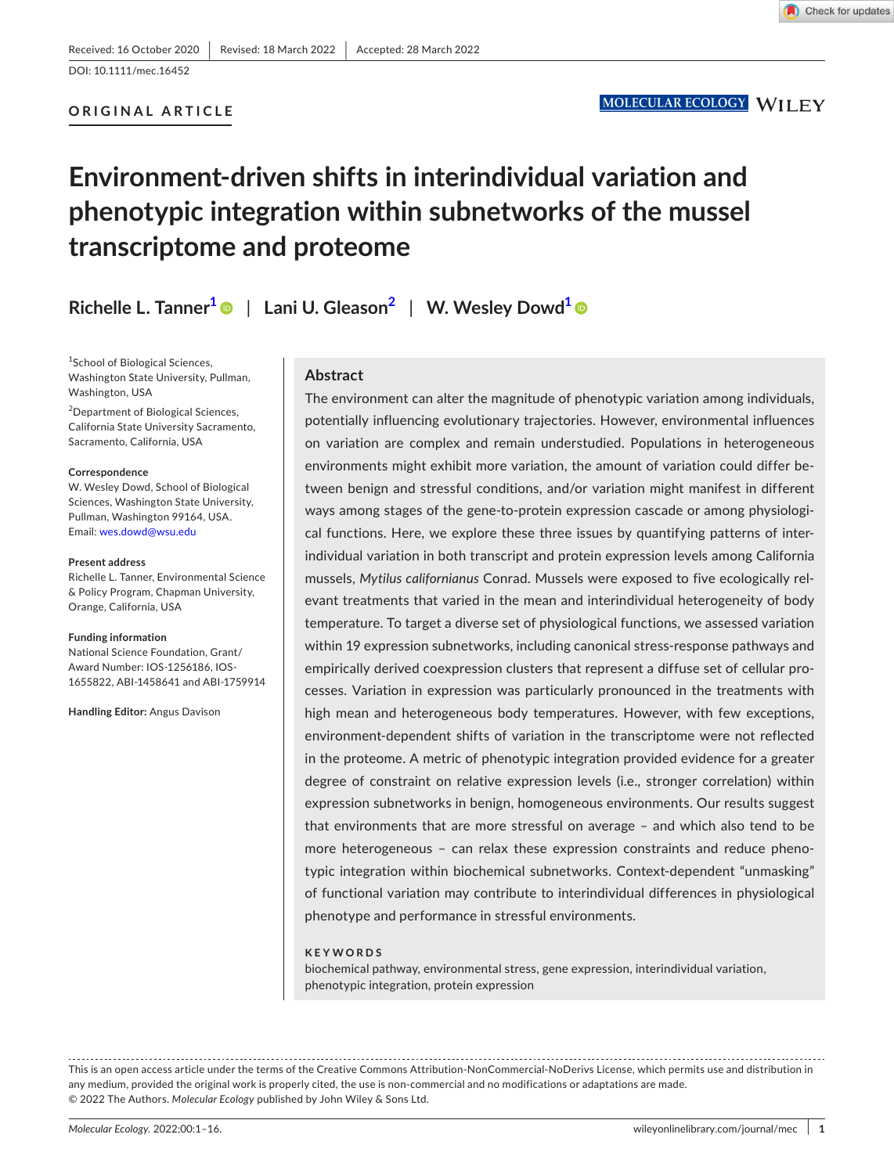#### **ORIGINAL ARTICLE**

### MOLECULAR ECOLOGY WILEY

# **Environment-driven shifts in interindividual variation and phenotypic integration within subnetworks of the mussel transcriptome and proteome**

**Richelle L. Tanner[1](#page-0-0)** | **Lani U. Gleason[2](#page-0-1)** | **W. Wesley Dow[d1](#page-0-0)**

<span id="page-0-0"></span>1 School of Biological Sciences, Washington State University, Pullman, Washington, USA

<span id="page-0-1"></span>2 Department of Biological Sciences, California State University Sacramento, Sacramento, California, USA

#### **Correspondence**

W. Wesley Dowd, School of Biological Sciences, Washington State University, Pullman, Washington 99164, USA. Email: [wes.dowd@wsu.edu](mailto:wes.dowd@wsu.edu)

#### **Present address**

Richelle L. Tanner, Environmental Science & Policy Program, Chapman University, Orange, California, USA

#### **Funding information**

National Science Foundation, Grant/ Award Number: IOS-1256186, IOS-1655822, ABI-1458641 and ABI-1759914

**Handling Editor:** Angus Davison

### **Abstract**

The environment can alter the magnitude of phenotypic variation among individuals, potentially influencing evolutionary trajectories. However, environmental influences on variation are complex and remain understudied. Populations in heterogeneous environments might exhibit more variation, the amount of variation could differ between benign and stressful conditions, and/or variation might manifest in different ways among stages of the gene-to-protein expression cascade or among physiological functions. Here, we explore these three issues by quantifying patterns of interindividual variation in both transcript and protein expression levels among California mussels, *Mytilus californianus* Conrad. Mussels were exposed to five ecologically relevant treatments that varied in the mean and interindividual heterogeneity of body temperature. To target a diverse set of physiological functions, we assessed variation within 19 expression subnetworks, including canonical stress-response pathways and empirically derived coexpression clusters that represent a diffuse set of cellular processes. Variation in expression was particularly pronounced in the treatments with high mean and heterogeneous body temperatures. However, with few exceptions, environment-dependent shifts of variation in the transcriptome were not reflected in the proteome. A metric of phenotypic integration provided evidence for a greater degree of constraint on relative expression levels (i.e., stronger correlation) within expression subnetworks in benign, homogeneous environments. Our results suggest that environments that are more stressful on average – and which also tend to be more heterogeneous – can relax these expression constraints and reduce phenotypic integration within biochemical subnetworks. Context-dependent "unmasking" of functional variation may contribute to interindividual differences in physiological phenotype and performance in stressful environments.

#### **KEYWORDS**

biochemical pathway, environmental stress, gene expression, interindividual variation, phenotypic integration, protein expression

This is an open access article under the terms of the Creative Commons Attribution-NonCommercial-NoDerivs License, which permits use and distribution in any medium, provided the original work is properly cited, the use is non-commercial and no modifications or adaptations are made. © 2022 The Authors. *Molecular Ecology* published by John Wiley & Sons Ltd.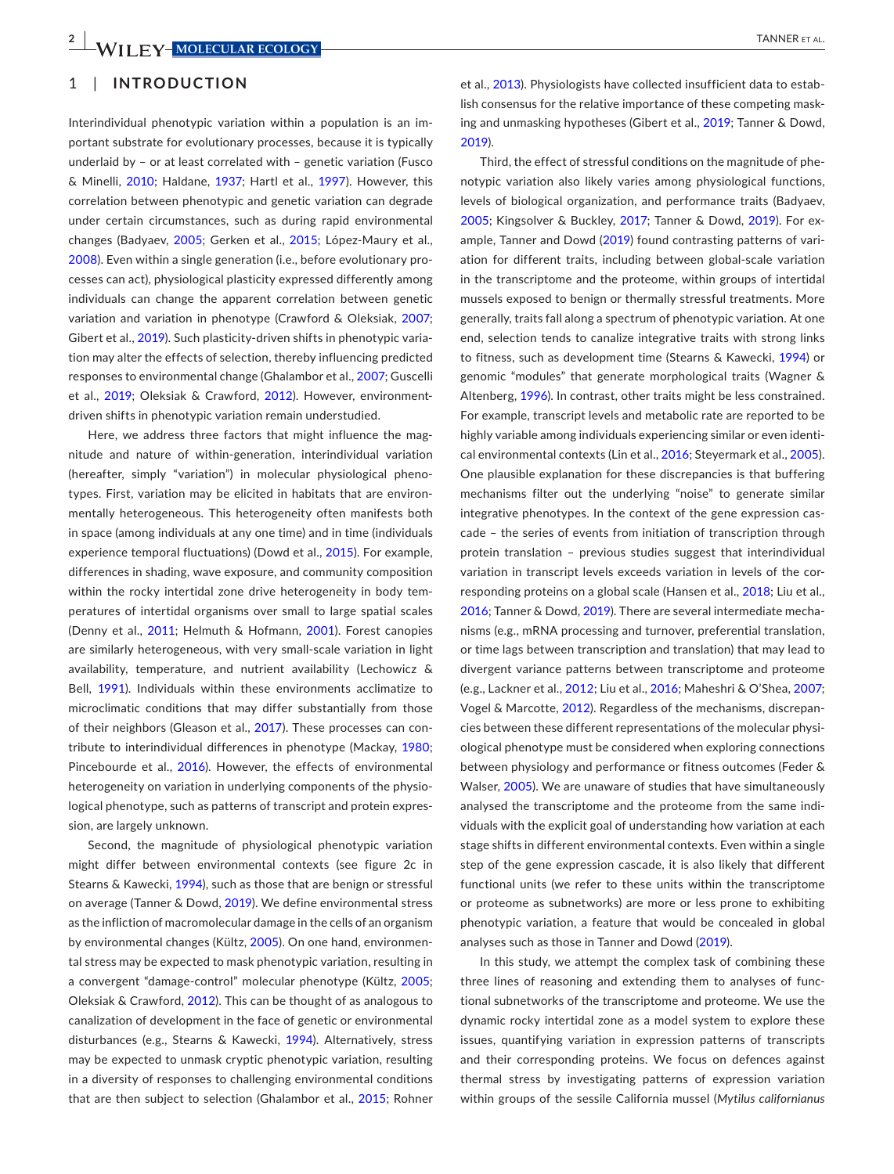#### 1 | **INTRODUCTION**

Interindividual phenotypic variation within a population is an important substrate for evolutionary processes, because it is typically underlaid by – or at least correlated with – genetic variation (Fusco & Minelli, [2010](#page-13-0); Haldane, [1937](#page-13-1); Hartl et al., [1997\)](#page-13-2). However, this correlation between phenotypic and genetic variation can degrade under certain circumstances, such as during rapid environmental changes (Badyaev, [2005](#page-12-0); Gerken et al., [2015](#page-13-3); López-Maury et al., [2008\)](#page-14-0). Even within a single generation (i.e., before evolutionary processes can act), physiological plasticity expressed differently among individuals can change the apparent correlation between genetic variation and variation in phenotype (Crawford & Oleksiak, [2007](#page-13-4); Gibert et al., [2019\)](#page-13-5). Such plasticity-driven shifts in phenotypic variation may alter the effects of selection, thereby influencing predicted responses to environmental change (Ghalambor et al., [2007](#page-13-6); Guscelli et al., [2019;](#page-13-7) Oleksiak & Crawford, [2012](#page-14-1)). However, environmentdriven shifts in phenotypic variation remain understudied.

Here, we address three factors that might influence the magnitude and nature of within-generation, interindividual variation (hereafter, simply "variation") in molecular physiological phenotypes. First, variation may be elicited in habitats that are environmentally heterogeneous. This heterogeneity often manifests both in space (among individuals at any one time) and in time (individuals experience temporal fluctuations) (Dowd et al., [2015](#page-13-8)). For example, differences in shading, wave exposure, and community composition within the rocky intertidal zone drive heterogeneity in body temperatures of intertidal organisms over small to large spatial scales (Denny et al., [2011](#page-13-9); Helmuth & Hofmann, [2001](#page-13-10)). Forest canopies are similarly heterogeneous, with very small-scale variation in light availability, temperature, and nutrient availability (Lechowicz & Bell, [1991](#page-14-2)). Individuals within these environments acclimatize to microclimatic conditions that may differ substantially from those of their neighbors (Gleason et al., [2017](#page-13-11)). These processes can contribute to interindividual differences in phenotype (Mackay, [1980](#page-14-3); Pincebourde et al., [2016](#page-14-4)). However, the effects of environmental heterogeneity on variation in underlying components of the physiological phenotype, such as patterns of transcript and protein expression, are largely unknown.

Second, the magnitude of physiological phenotypic variation might differ between environmental contexts (see figure 2c in Stearns & Kawecki, [1994\)](#page-14-5), such as those that are benign or stressful on average (Tanner & Dowd, [2019\)](#page-14-6). We define environmental stress as the infliction of macromolecular damage in the cells of an organism by environmental changes (Kültz, [2005](#page-14-7)). On one hand, environmental stress may be expected to mask phenotypic variation, resulting in a convergent "damage-control" molecular phenotype (Kültz, [2005](#page-14-7); Oleksiak & Crawford, [2012](#page-14-1)). This can be thought of as analogous to canalization of development in the face of genetic or environmental disturbances (e.g., Stearns & Kawecki, [1994\)](#page-14-5). Alternatively, stress may be expected to unmask cryptic phenotypic variation, resulting in a diversity of responses to challenging environmental conditions that are then subject to selection (Ghalambor et al., [2015](#page-13-12); Rohner

et al., [2013\)](#page-14-8). Physiologists have collected insufficient data to establish consensus for the relative importance of these competing masking and unmasking hypotheses (Gibert et al., [2019;](#page-13-5) Tanner & Dowd, [2019](#page-14-6)).

Third, the effect of stressful conditions on the magnitude of phenotypic variation also likely varies among physiological functions, levels of biological organization, and performance traits (Badyaev, [2005](#page-12-0); Kingsolver & Buckley, [2017](#page-14-9); Tanner & Dowd, [2019\)](#page-14-6). For example, Tanner and Dowd ([2019\)](#page-14-6) found contrasting patterns of variation for different traits, including between global-scale variation in the transcriptome and the proteome, within groups of intertidal mussels exposed to benign or thermally stressful treatments. More generally, traits fall along a spectrum of phenotypic variation. At one end, selection tends to canalize integrative traits with strong links to fitness, such as development time (Stearns & Kawecki, [1994](#page-14-5)) or genomic "modules" that generate morphological traits (Wagner & Altenberg, [1996\)](#page-15-0). In contrast, other traits might be less constrained. For example, transcript levels and metabolic rate are reported to be highly variable among individuals experiencing similar or even identical environmental contexts (Lin et al., [2016](#page-14-10); Steyermark et al., [2005](#page-14-11)). One plausible explanation for these discrepancies is that buffering mechanisms filter out the underlying "noise" to generate similar integrative phenotypes. In the context of the gene expression cascade – the series of events from initiation of transcription through protein translation – previous studies suggest that interindividual variation in transcript levels exceeds variation in levels of the corresponding proteins on a global scale (Hansen et al., [2018](#page-13-13); Liu et al., [2016](#page-14-12); Tanner & Dowd, [2019\)](#page-14-6). There are several intermediate mechanisms (e.g., mRNA processing and turnover, preferential translation, or time lags between transcription and translation) that may lead to divergent variance patterns between transcriptome and proteome (e.g., Lackner et al., [2012](#page-14-13); Liu et al., [2016](#page-14-12); Maheshri & O'Shea, [2007](#page-14-14); Vogel & Marcotte, [2012](#page-15-1)). Regardless of the mechanisms, discrepancies between these different representations of the molecular physiological phenotype must be considered when exploring connections between physiology and performance or fitness outcomes (Feder & Walser, [2005](#page-13-14)). We are unaware of studies that have simultaneously analysed the transcriptome and the proteome from the same individuals with the explicit goal of understanding how variation at each stage shifts in different environmental contexts. Even within a single step of the gene expression cascade, it is also likely that different functional units (we refer to these units within the transcriptome or proteome as subnetworks) are more or less prone to exhibiting phenotypic variation, a feature that would be concealed in global analyses such as those in Tanner and Dowd ([2019](#page-14-6)).

In this study, we attempt the complex task of combining these three lines of reasoning and extending them to analyses of functional subnetworks of the transcriptome and proteome. We use the dynamic rocky intertidal zone as a model system to explore these issues, quantifying variation in expression patterns of transcripts and their corresponding proteins. We focus on defences against thermal stress by investigating patterns of expression variation within groups of the sessile California mussel (*Mytilus californianus*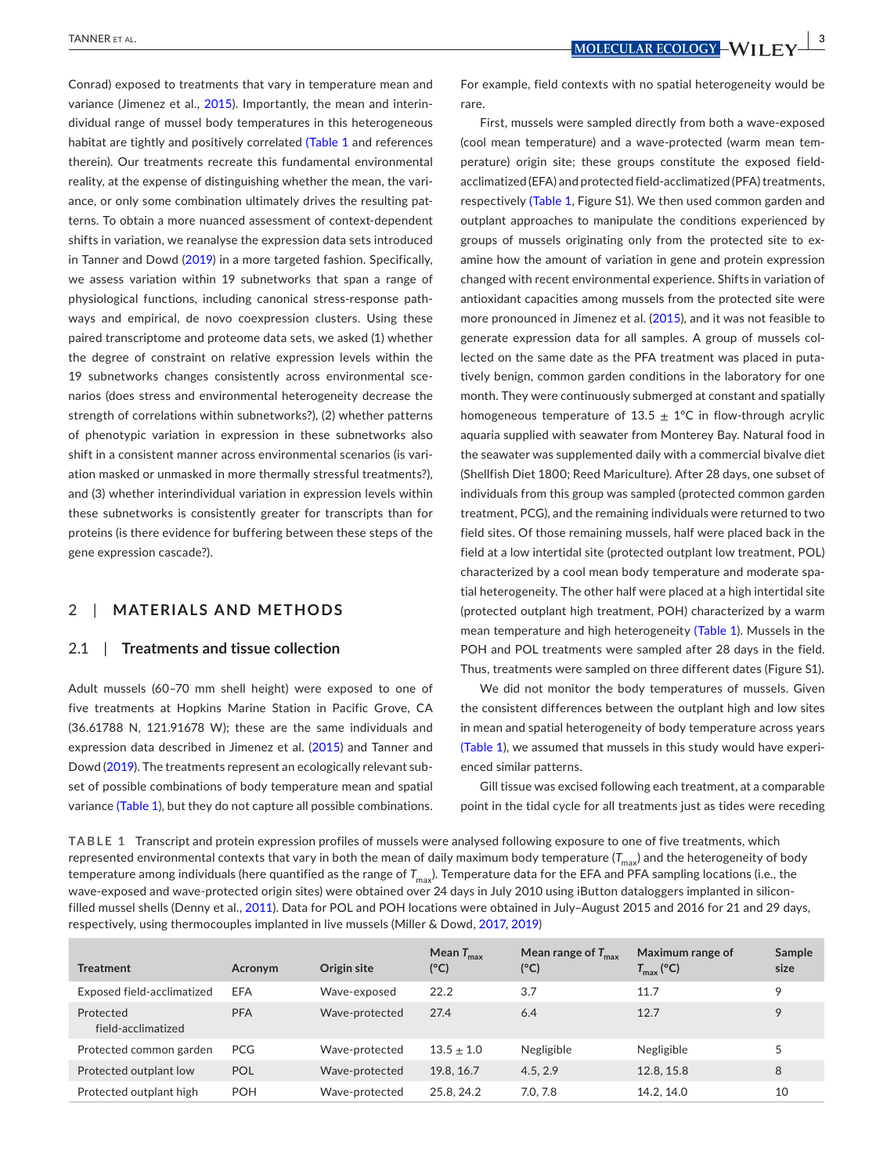Conrad) exposed to treatments that vary in temperature mean and variance (Jimenez et al., [2015](#page-13-15)). Importantly, the mean and interindividual range of mussel body temperatures in this heterogeneous habitat are tightly and positively correlated (Table [1](#page-2-0) and references therein). Our treatments recreate this fundamental environmental reality, at the expense of distinguishing whether the mean, the variance, or only some combination ultimately drives the resulting patterns. To obtain a more nuanced assessment of context-dependent shifts in variation, we reanalyse the expression data sets introduced in Tanner and Dowd [\(2019\)](#page-14-6) in a more targeted fashion. Specifically, we assess variation within 19 subnetworks that span a range of physiological functions, including canonical stress-response pathways and empirical, de novo coexpression clusters. Using these paired transcriptome and proteome data sets, we asked (1) whether the degree of constraint on relative expression levels within the 19 subnetworks changes consistently across environmental scenarios (does stress and environmental heterogeneity decrease the strength of correlations within subnetworks?), (2) whether patterns of phenotypic variation in expression in these subnetworks also shift in a consistent manner across environmental scenarios (is variation masked or unmasked in more thermally stressful treatments?), and (3) whether interindividual variation in expression levels within these subnetworks is consistently greater for transcripts than for proteins (is there evidence for buffering between these steps of the gene expression cascade?).

### 2 | **MATERIALS AND METHODS**

#### 2.1 | **Treatments and tissue collection**

Adult mussels (60–70 mm shell height) were exposed to one of five treatments at Hopkins Marine Station in Pacific Grove, CA (36.61788 N, 121.91678 W); these are the same individuals and expression data described in Jimenez et al. ([2015](#page-13-15)) and Tanner and Dowd ([2019](#page-14-6)). The treatments represent an ecologically relevant subset of possible combinations of body temperature mean and spatial variance (Table [1](#page-2-0)), but they do not capture all possible combinations.

 **<u>MOLECULAR ECOLOGY</u>**  $\frac{1}{2}$  **MOLECULAR ECOLOGY**  $\frac{1}{2}$  **MOLECULAR** ECOLOGY</u>  $\frac{1}{2}$ 

For example, field contexts with no spatial heterogeneity would be rare.

First, mussels were sampled directly from both a wave-exposed (cool mean temperature) and a wave-protected (warm mean temperature) origin site; these groups constitute the exposed fieldacclimatized (EFA) and protected field-acclimatized (PFA) treatments, respectively (Table [1](#page-2-0), Figure S1). We then used common garden and outplant approaches to manipulate the conditions experienced by groups of mussels originating only from the protected site to examine how the amount of variation in gene and protein expression changed with recent environmental experience. Shifts in variation of antioxidant capacities among mussels from the protected site were more pronounced in Jimenez et al. ([2015](#page-13-15)), and it was not feasible to generate expression data for all samples. A group of mussels collected on the same date as the PFA treatment was placed in putatively benign, common garden conditions in the laboratory for one month. They were continuously submerged at constant and spatially homogeneous temperature of 13.5  $\pm$  1°C in flow-through acrylic aquaria supplied with seawater from Monterey Bay. Natural food in the seawater was supplemented daily with a commercial bivalve diet (Shellfish Diet 1800; Reed Mariculture). After 28 days, one subset of individuals from this group was sampled (protected common garden treatment, PCG), and the remaining individuals were returned to two field sites. Of those remaining mussels, half were placed back in the field at a low intertidal site (protected outplant low treatment, POL) characterized by a cool mean body temperature and moderate spatial heterogeneity. The other half were placed at a high intertidal site (protected outplant high treatment, POH) characterized by a warm mean temperature and high heterogeneity (Table [1](#page-2-0)). Mussels in the POH and POL treatments were sampled after 28 days in the field. Thus, treatments were sampled on three different dates (Figure S1).

We did not monitor the body temperatures of mussels. Given the consistent differences between the outplant high and low sites in mean and spatial heterogeneity of body temperature across years (Table [1](#page-2-0)), we assumed that mussels in this study would have experienced similar patterns.

Gill tissue was excised following each treatment, at a comparable point in the tidal cycle for all treatments just as tides were receding

<span id="page-2-0"></span>**TABLE 1** Transcript and protein expression profiles of mussels were analysed following exposure to one of five treatments, which represented environmental contexts that vary in both the mean of daily maximum body temperature  $(T_{\text{max}})$  and the heterogeneity of body temperature among individuals (here quantified as the range of  $T_{\text{max}}$ ). Temperature data for the EFA and PFA sampling locations (i.e., the wave-exposed and wave-protected origin sites) were obtained over 24 days in July 2010 using iButton dataloggers implanted in siliconfilled mussel shells (Denny et al., [2011](#page-13-9)). Data for POL and POH locations were obtained in July–August 2015 and 2016 for 21 and 29 days, respectively, using thermocouples implanted in live mussels (Miller & Dowd, [2017,](#page-14-15) [2019\)](#page-14-16)

| <b>Treatment</b>                | <b>Acronym</b> | Origin site    | Mean $T_{\text{max}}$<br>(°C) | Mean range of $T_{\text{max}}$<br>$(^{\circ}C)$ | Maximum range of<br>$T_{\rm max}$ (°C) | Sample<br>size |
|---------------------------------|----------------|----------------|-------------------------------|-------------------------------------------------|----------------------------------------|----------------|
| Exposed field-acclimatized      | EFA            | Wave-exposed   | 22.2                          | 3.7                                             | 11.7                                   | 9              |
| Protected<br>field-acclimatized | <b>PFA</b>     | Wave-protected | 27.4                          | 6.4                                             | 12.7                                   | 9              |
| Protected common garden         | <b>PCG</b>     | Wave-protected | $13.5 + 1.0$                  | Negligible                                      | Negligible                             | 5              |
| Protected outplant low          | POL            | Wave-protected | 19.8, 16.7                    | 4.5.2.9                                         | 12.8, 15.8                             | 8              |
| Protected outplant high         | <b>POH</b>     | Wave-protected | 25.8.24.2                     | 7.0.7.8                                         | 14.2.14.0                              | 10             |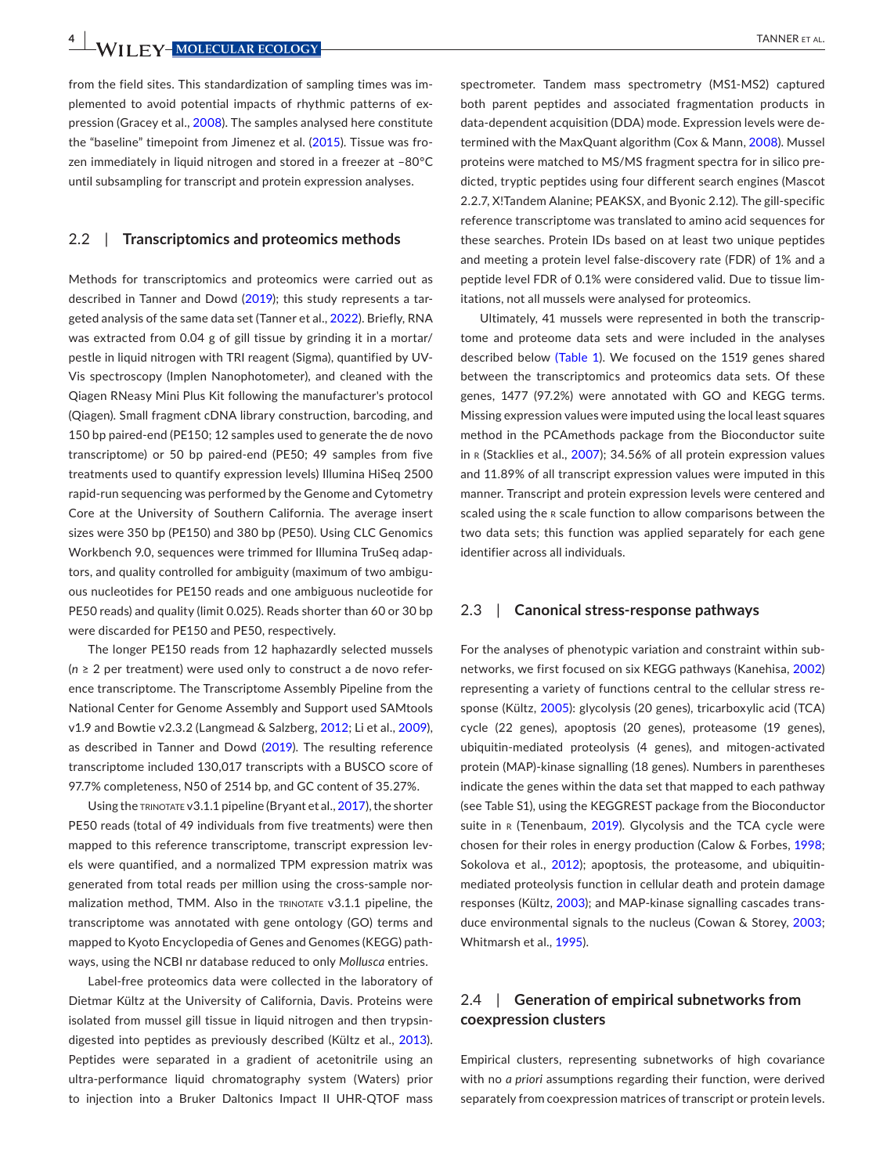**4 WII FY-MOLECULAR ECOLOGY TANNER ET AL.** 

from the field sites. This standardization of sampling times was implemented to avoid potential impacts of rhythmic patterns of ex-pression (Gracey et al., [2008\)](#page-13-16). The samples analysed here constitute the "baseline" timepoint from Jimenez et al. ([2015](#page-13-15)). Tissue was frozen immediately in liquid nitrogen and stored in a freezer at –80°C until subsampling for transcript and protein expression analyses.

#### 2.2 | **Transcriptomics and proteomics methods**

Methods for transcriptomics and proteomics were carried out as described in Tanner and Dowd [\(2019\)](#page-14-6); this study represents a targeted analysis of the same data set (Tanner et al., [2022](#page-15-2)). Briefly, RNA was extracted from 0.04 g of gill tissue by grinding it in a mortar/ pestle in liquid nitrogen with TRI reagent (Sigma), quantified by UV-Vis spectroscopy (Implen Nanophotometer), and cleaned with the Qiagen RNeasy Mini Plus Kit following the manufacturer's protocol (Qiagen). Small fragment cDNA library construction, barcoding, and 150 bp paired-end (PE150; 12 samples used to generate the de novo transcriptome) or 50 bp paired-end (PE50; 49 samples from five treatments used to quantify expression levels) Illumina HiSeq 2500 rapid-run sequencing was performed by the Genome and Cytometry Core at the University of Southern California. The average insert sizes were 350 bp (PE150) and 380 bp (PE50). Using CLC Genomics Workbench 9.0, sequences were trimmed for Illumina TruSeq adaptors, and quality controlled for ambiguity (maximum of two ambiguous nucleotides for PE150 reads and one ambiguous nucleotide for PE50 reads) and quality (limit 0.025). Reads shorter than 60 or 30 bp were discarded for PE150 and PE50, respectively.

The longer PE150 reads from 12 haphazardly selected mussels (*n* ≥ 2 per treatment) were used only to construct a de novo reference transcriptome. The Transcriptome Assembly Pipeline from the National Center for Genome Assembly and Support used SAMtools v1.9 and Bowtie v2.3.2 (Langmead & Salzberg, [2012](#page-14-17); Li et al., [2009](#page-14-18)), as described in Tanner and Dowd ([2019\)](#page-14-6). The resulting reference transcriptome included 130,017 transcripts with a BUSCO score of 97.7% completeness, N50 of 2514 bp, and GC content of 35.27%.

Using the TRINOTATE V3.1.1 pipeline (Bryant et al., [2017\)](#page-12-1), the shorter PE50 reads (total of 49 individuals from five treatments) were then mapped to this reference transcriptome, transcript expression levels were quantified, and a normalized TPM expression matrix was generated from total reads per million using the cross-sample normalization method, TMM. Also in the TRINOTATE v3.1.1 pipeline, the transcriptome was annotated with gene ontology (GO) terms and mapped to Kyoto Encyclopedia of Genes and Genomes (KEGG) pathways, using the NCBI nr database reduced to only *Mollusca* entries.

Label-free proteomics data were collected in the laboratory of Dietmar Kültz at the University of California, Davis. Proteins were isolated from mussel gill tissue in liquid nitrogen and then trypsindigested into peptides as previously described (Kültz et al., [2013](#page-14-19)). Peptides were separated in a gradient of acetonitrile using an ultra-performance liquid chromatography system (Waters) prior to injection into a Bruker Daltonics Impact II UHR-QTOF mass

spectrometer. Tandem mass spectrometry (MS1-MS2) captured both parent peptides and associated fragmentation products in data-dependent acquisition (DDA) mode. Expression levels were determined with the MaxQuant algorithm (Cox & Mann, [2008](#page-13-17)). Mussel proteins were matched to MS/MS fragment spectra for in silico predicted, tryptic peptides using four different search engines (Mascot 2.2.7, X!Tandem Alanine; PEAKSX, and Byonic 2.12). The gill-specific reference transcriptome was translated to amino acid sequences for these searches. Protein IDs based on at least two unique peptides and meeting a protein level false-discovery rate (FDR) of 1% and a peptide level FDR of 0.1% were considered valid. Due to tissue limitations, not all mussels were analysed for proteomics.

Ultimately, 41 mussels were represented in both the transcriptome and proteome data sets and were included in the analyses described below (Table [1](#page-2-0)). We focused on the 1519 genes shared between the transcriptomics and proteomics data sets. Of these genes, 1477 (97.2%) were annotated with GO and KEGG terms. Missing expression values were imputed using the local least squares method in the PCAmethods package from the Bioconductor suite in r (Stacklies et al., [2007\)](#page-14-20); 34.56% of all protein expression values and 11.89% of all transcript expression values were imputed in this manner. Transcript and protein expression levels were centered and scaled using the r scale function to allow comparisons between the two data sets; this function was applied separately for each gene identifier across all individuals.

#### 2.3 | **Canonical stress-response pathways**

For the analyses of phenotypic variation and constraint within subnetworks, we first focused on six KEGG pathways (Kanehisa, [2002](#page-13-18)) representing a variety of functions central to the cellular stress response (Kültz, [2005](#page-14-7)): glycolysis (20 genes), tricarboxylic acid (TCA) cycle (22 genes), apoptosis (20 genes), proteasome (19 genes), ubiquitin-mediated proteolysis (4 genes), and mitogen-activated protein (MAP)-kinase signalling (18 genes). Numbers in parentheses indicate the genes within the data set that mapped to each pathway (see Table S1), using the KEGGREST package from the Bioconductor suite in R (Tenenbaum, [2019](#page-15-3)). Glycolysis and the TCA cycle were chosen for their roles in energy production (Calow & Forbes, [1998](#page-13-19); Sokolova et al., [2012](#page-14-21)); apoptosis, the proteasome, and ubiquitinmediated proteolysis function in cellular death and protein damage responses (Kültz, [2003\)](#page-14-22); and MAP-kinase signalling cascades transduce environmental signals to the nucleus (Cowan & Storey, [2003](#page-13-20); Whitmarsh et al., [1995](#page-15-4)).

### 2.4 | **Generation of empirical subnetworks from coexpression clusters**

Empirical clusters, representing subnetworks of high covariance with no *a priori* assumptions regarding their function, were derived separately from coexpression matrices of transcript or protein levels.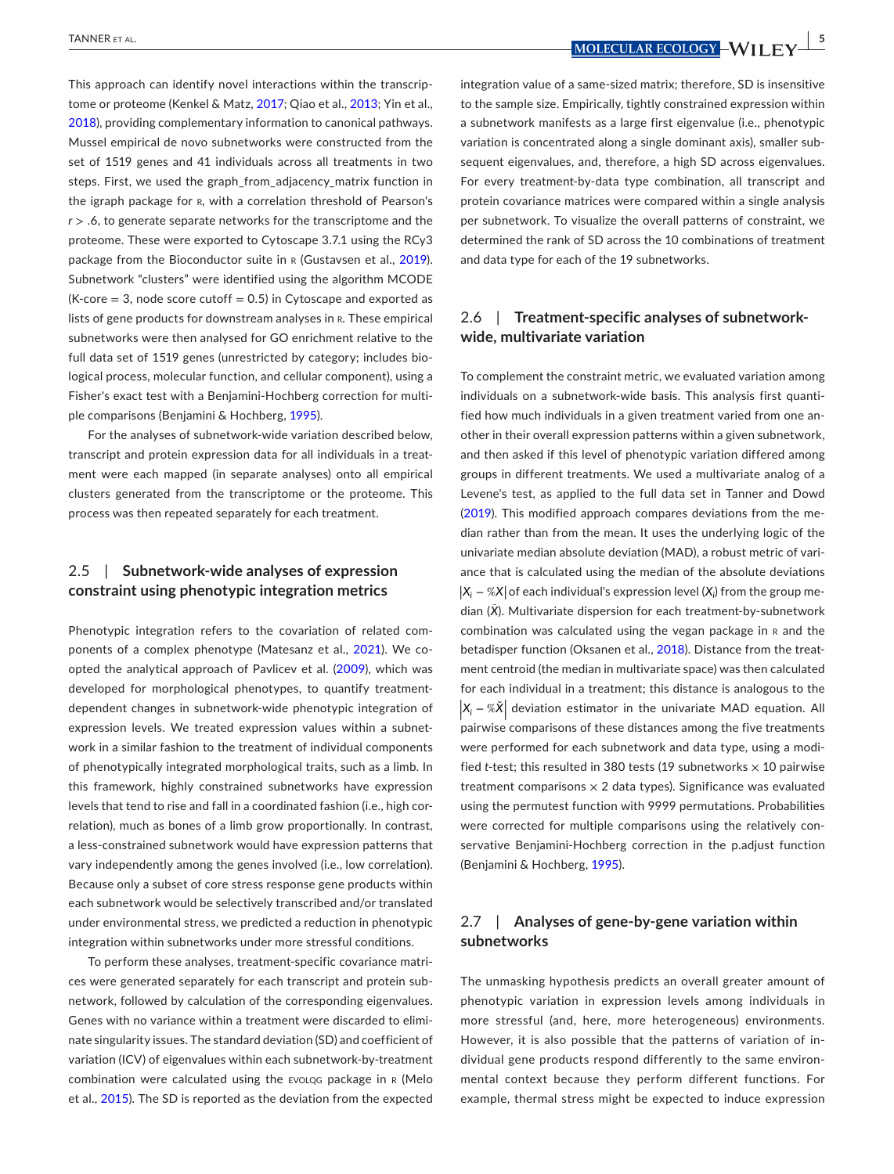This approach can identify novel interactions within the transcrip-tome or proteome (Kenkel & Matz, [2017](#page-13-21); Qiao et al., [2013;](#page-14-23) Yin et al., [2018](#page-15-5)), providing complementary information to canonical pathways. Mussel empirical de novo subnetworks were constructed from the set of 1519 genes and 41 individuals across all treatments in two steps. First, we used the graph\_from\_adjacency\_matrix function in the igraph package for R, with a correlation threshold of Pearson's *r* > .6, to generate separate networks for the transcriptome and the proteome. These were exported to Cytoscape 3.7.1 using the RCy3 package from the Bioconductor suite in R (Gustavsen et al., [2019](#page-13-22)). Subnetwork "clusters" were identified using the algorithm MCODE  $(K-core = 3, node score cutoff = 0.5)$  in Cytoscape and exported as lists of gene products for downstream analyses in R. These empirical subnetworks were then analysed for GO enrichment relative to the full data set of 1519 genes (unrestricted by category; includes biological process, molecular function, and cellular component), using a Fisher's exact test with a Benjamini-Hochberg correction for multiple comparisons (Benjamini & Hochberg, [1995](#page-12-2)).

For the analyses of subnetwork-wide variation described below, transcript and protein expression data for all individuals in a treatment were each mapped (in separate analyses) onto all empirical clusters generated from the transcriptome or the proteome. This process was then repeated separately for each treatment.

### 2.5 | **Subnetwork-wide analyses of expression constraint using phenotypic integration metrics**

Phenotypic integration refers to the covariation of related components of a complex phenotype (Matesanz et al., [2021](#page-14-24)). We coopted the analytical approach of Pavlicev et al. [\(2009](#page-14-25)), which was developed for morphological phenotypes, to quantify treatmentdependent changes in subnetwork-wide phenotypic integration of expression levels. We treated expression values within a subnetwork in a similar fashion to the treatment of individual components of phenotypically integrated morphological traits, such as a limb. In this framework, highly constrained subnetworks have expression levels that tend to rise and fall in a coordinated fashion (i.e., high correlation), much as bones of a limb grow proportionally. In contrast, a less-constrained subnetwork would have expression patterns that vary independently among the genes involved (i.e., low correlation). Because only a subset of core stress response gene products within each subnetwork would be selectively transcribed and/or translated under environmental stress, we predicted a reduction in phenotypic integration within subnetworks under more stressful conditions.

To perform these analyses, treatment-specific covariance matrices were generated separately for each transcript and protein subnetwork, followed by calculation of the corresponding eigenvalues. Genes with no variance within a treatment were discarded to eliminate singularity issues. The standard deviation (SD) and coefficient of variation (ICV) of eigenvalues within each subnetwork-by-treatment combination were calculated using the evolqg package in r (Melo et al., [2015](#page-14-26)). The SD is reported as the deviation from the expected

 **<u>MOLECULAR ECOLOGY</u>** WILL FV<sup>15</sup>

integration value of a same-sized matrix; therefore, SD is insensitive to the sample size. Empirically, tightly constrained expression within a subnetwork manifests as a large first eigenvalue (i.e., phenotypic variation is concentrated along a single dominant axis), smaller subsequent eigenvalues, and, therefore, a high SD across eigenvalues. For every treatment-by-data type combination, all transcript and protein covariance matrices were compared within a single analysis per subnetwork. To visualize the overall patterns of constraint, we determined the rank of SD across the 10 combinations of treatment and data type for each of the 19 subnetworks.

### 2.6 | **Treatment-specific analyses of subnetworkwide, multivariate variation**

To complement the constraint metric, we evaluated variation among individuals on a subnetwork-wide basis. This analysis first quantified how much individuals in a given treatment varied from one another in their overall expression patterns within a given subnetwork, and then asked if this level of phenotypic variation differed among groups in different treatments. We used a multivariate analog of a Levene's test, as applied to the full data set in Tanner and Dowd ([2019](#page-14-6)). This modified approach compares deviations from the median rather than from the mean. It uses the underlying logic of the univariate median absolute deviation (MAD), a robust metric of variance that is calculated using the median of the absolute deviations |X<sub>i</sub> − %X| of each individual's expression level (X<sub>i</sub>) from the group median (*X*̃). Multivariate dispersion for each treatment-by-subnetwork combination was calculated using the vegan package in R and the betadisper function (Oksanen et al., [2018](#page-14-27)). Distance from the treatment centroid (the median in multivariate space) was then calculated for each individual in a treatment; this distance is analogous to the | | | *Xi* − %*X*̃<sup>|</sup> | | deviation estimator in the univariate MAD equation. All pairwise comparisons of these distances among the five treatments were performed for each subnetwork and data type, using a modified *t*-test; this resulted in 380 tests (19 subnetworks × 10 pairwise treatment comparisons  $\times$  2 data types). Significance was evaluated using the permutest function with 9999 permutations. Probabilities were corrected for multiple comparisons using the relatively conservative Benjamini-Hochberg correction in the p.adjust function (Benjamini & Hochberg, [1995](#page-12-2)).

### 2.7 | **Analyses of gene-by-gene variation within subnetworks**

The unmasking hypothesis predicts an overall greater amount of phenotypic variation in expression levels among individuals in more stressful (and, here, more heterogeneous) environments. However, it is also possible that the patterns of variation of individual gene products respond differently to the same environmental context because they perform different functions. For example, thermal stress might be expected to induce expression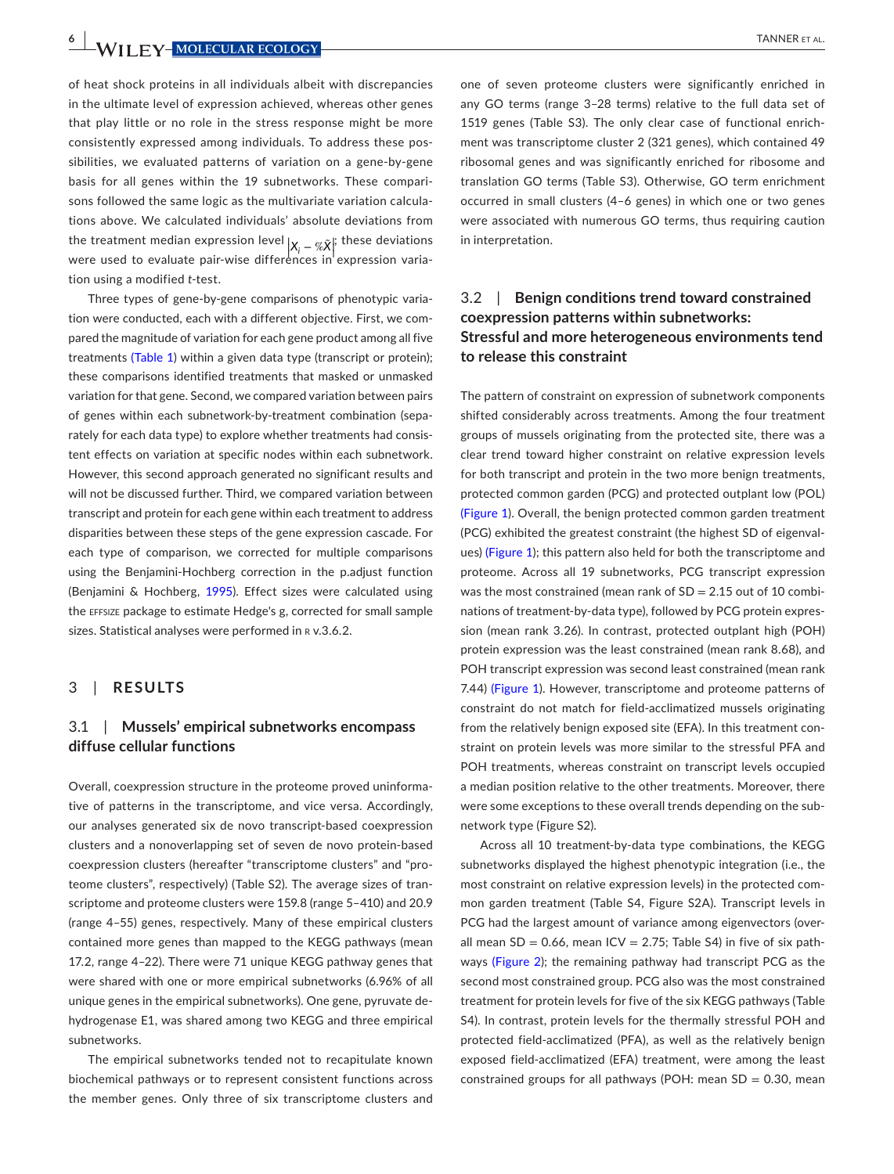**6 <sup>|</sup>**  TANNER et al.

of heat shock proteins in all individuals albeit with discrepancies in the ultimate level of expression achieved, whereas other genes that play little or no role in the stress response might be more consistently expressed among individuals. To address these possibilities, we evaluated patterns of variation on a gene-by-gene basis for all genes within the 19 subnetworks. These comparisons followed the same logic as the multivariate variation calculations above. We calculated individuals' absolute deviations from the treatment median expression level  $|x_{i}-\% \tilde{x}|^{\dagger}$  these deviations were used to evaluate pair-wise differences in expression variation using a modified *t*-test.

Three types of gene-by-gene comparisons of phenotypic variation were conducted, each with a different objective. First, we compared the magnitude of variation for each gene product among all five treatments (Table [1](#page-2-0)) within a given data type (transcript or protein); these comparisons identified treatments that masked or unmasked variation for that gene. Second, we compared variation between pairs of genes within each subnetwork-by-treatment combination (separately for each data type) to explore whether treatments had consistent effects on variation at specific nodes within each subnetwork. However, this second approach generated no significant results and will not be discussed further. Third, we compared variation between transcript and protein for each gene within each treatment to address disparities between these steps of the gene expression cascade. For each type of comparison, we corrected for multiple comparisons using the Benjamini-Hochberg correction in the p.adjust function (Benjamini & Hochberg, [1995](#page-12-2)). Effect sizes were calculated using the effsize package to estimate Hedge's g, corrected for small sample sizes. Statistical analyses were performed in R v.3.6.2.

#### 3 | **RESULTS**

### 3.1 | **Mussels' empirical subnetworks encompass diffuse cellular functions**

Overall, coexpression structure in the proteome proved uninformative of patterns in the transcriptome, and vice versa. Accordingly, our analyses generated six de novo transcript-based coexpression clusters and a nonoverlapping set of seven de novo protein-based coexpression clusters (hereafter "transcriptome clusters" and "proteome clusters", respectively) (Table S2). The average sizes of transcriptome and proteome clusters were 159.8 (range 5–410) and 20.9 (range 4–55) genes, respectively. Many of these empirical clusters contained more genes than mapped to the KEGG pathways (mean 17.2, range 4–22). There were 71 unique KEGG pathway genes that were shared with one or more empirical subnetworks (6.96% of all unique genes in the empirical subnetworks). One gene, pyruvate dehydrogenase E1, was shared among two KEGG and three empirical subnetworks.

The empirical subnetworks tended not to recapitulate known biochemical pathways or to represent consistent functions across the member genes. Only three of six transcriptome clusters and

one of seven proteome clusters were significantly enriched in any GO terms (range 3–28 terms) relative to the full data set of 1519 genes (Table S3). The only clear case of functional enrichment was transcriptome cluster 2 (321 genes), which contained 49 ribosomal genes and was significantly enriched for ribosome and translation GO terms (Table S3). Otherwise, GO term enrichment occurred in small clusters (4–6 genes) in which one or two genes were associated with numerous GO terms, thus requiring caution in interpretation.

### 3.2 | **Benign conditions trend toward constrained coexpression patterns within subnetworks: Stressful and more heterogeneous environments tend to release this constraint**

The pattern of constraint on expression of subnetwork components shifted considerably across treatments. Among the four treatment groups of mussels originating from the protected site, there was a clear trend toward higher constraint on relative expression levels for both transcript and protein in the two more benign treatments, protected common garden (PCG) and protected outplant low (POL) (Figure [1](#page-6-0)). Overall, the benign protected common garden treatment (PCG) exhibited the greatest constraint (the highest SD of eigenvalues) (Figure [1](#page-6-0)); this pattern also held for both the transcriptome and proteome. Across all 19 subnetworks, PCG transcript expression was the most constrained (mean rank of  $SD = 2.15$  out of 10 combinations of treatment-by-data type), followed by PCG protein expression (mean rank 3.26). In contrast, protected outplant high (POH) protein expression was the least constrained (mean rank 8.68), and POH transcript expression was second least constrained (mean rank 7.44) (Figure [1](#page-6-0)). However, transcriptome and proteome patterns of constraint do not match for field-acclimatized mussels originating from the relatively benign exposed site (EFA). In this treatment constraint on protein levels was more similar to the stressful PFA and POH treatments, whereas constraint on transcript levels occupied a median position relative to the other treatments. Moreover, there were some exceptions to these overall trends depending on the subnetwork type (Figure S2).

Across all 10 treatment-by-data type combinations, the KEGG subnetworks displayed the highest phenotypic integration (i.e., the most constraint on relative expression levels) in the protected common garden treatment (Table S4, Figure S2A). Transcript levels in PCG had the largest amount of variance among eigenvectors (overall mean SD = 0.66, mean ICV = 2.75; Table S4) in five of six pathways (Figure [2](#page-7-0)); the remaining pathway had transcript PCG as the second most constrained group. PCG also was the most constrained treatment for protein levels for five of the six KEGG pathways (Table S4). In contrast, protein levels for the thermally stressful POH and protected field-acclimatized (PFA), as well as the relatively benign exposed field-acclimatized (EFA) treatment, were among the least constrained groups for all pathways (POH: mean  $SD = 0.30$ , mean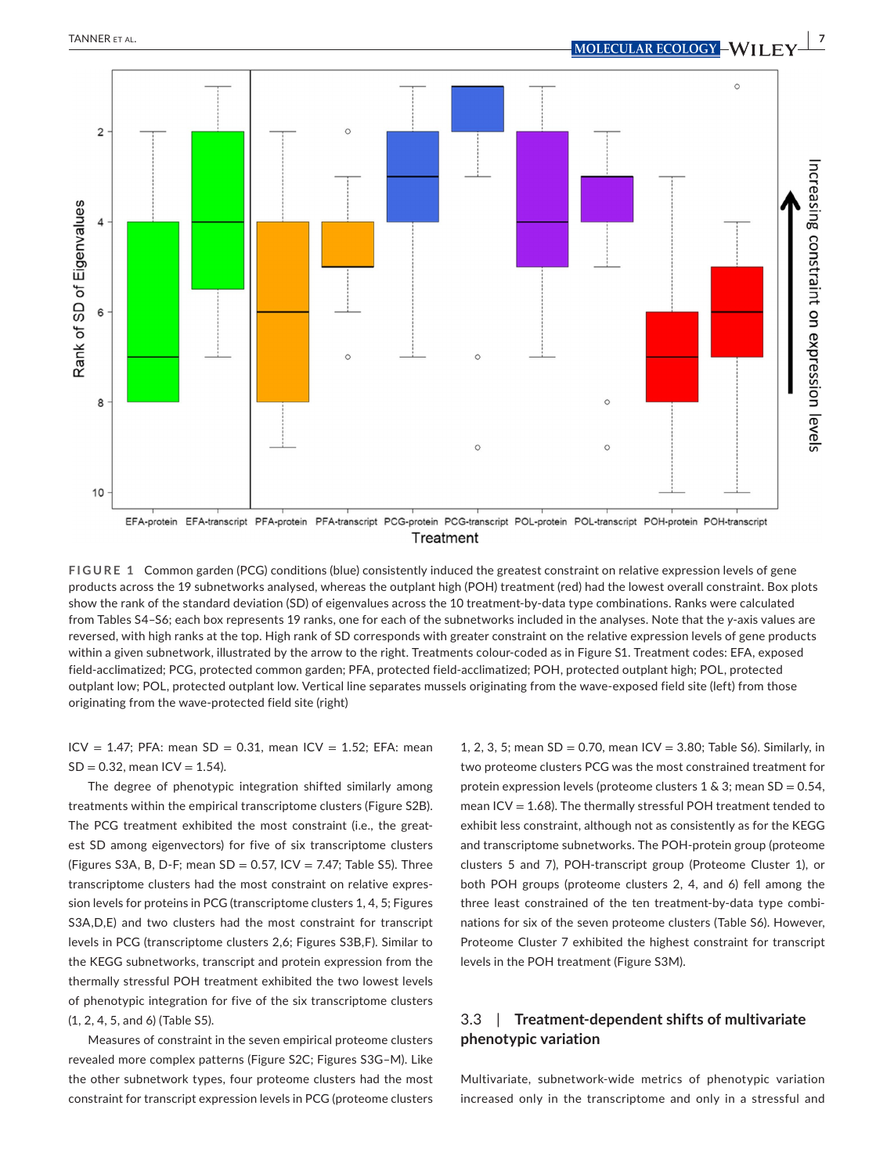Rank of SD of Eigenvalues

10



<span id="page-6-0"></span>

 $\circ$ 

**FIGURE 1** Common garden (PCG) conditions (blue) consistently induced the greatest constraint on relative expression levels of gene products across the 19 subnetworks analysed, whereas the outplant high (POH) treatment (red) had the lowest overall constraint. Box plots show the rank of the standard deviation (SD) of eigenvalues across the 10 treatment-by-data type combinations. Ranks were calculated from Tables S4–S6; each box represents 19 ranks, one for each of the subnetworks included in the analyses. Note that the *y*-axis values are reversed, with high ranks at the top. High rank of SD corresponds with greater constraint on the relative expression levels of gene products within a given subnetwork, illustrated by the arrow to the right. Treatments colour-coded as in Figure S1. Treatment codes: EFA, exposed field-acclimatized; PCG, protected common garden; PFA, protected field-acclimatized; POH, protected outplant high; POL, protected outplant low; POL, protected outplant low. Vertical line separates mussels originating from the wave-exposed field site (left) from those originating from the wave-protected field site (right)

 $ICV = 1.47$ ; PFA: mean SD = 0.31, mean  $ICV = 1.52$ ; EFA: mean  $SD = 0.32$ , mean  $ICV = 1.54$ ).

The degree of phenotypic integration shifted similarly among treatments within the empirical transcriptome clusters (Figure S2B). The PCG treatment exhibited the most constraint (i.e., the greatest SD among eigenvectors) for five of six transcriptome clusters (Figures S3A, B, D-F; mean  $SD = 0.57$ , ICV = 7.47; Table S5). Three transcriptome clusters had the most constraint on relative expression levels for proteins in PCG (transcriptome clusters 1, 4, 5; Figures S3A,D,E) and two clusters had the most constraint for transcript levels in PCG (transcriptome clusters 2,6; Figures S3B,F). Similar to the KEGG subnetworks, transcript and protein expression from the thermally stressful POH treatment exhibited the two lowest levels of phenotypic integration for five of the six transcriptome clusters (1, 2, 4, 5, and 6) (Table S5).

Measures of constraint in the seven empirical proteome clusters revealed more complex patterns (Figure S2C; Figures S3G–M). Like the other subnetwork types, four proteome clusters had the most constraint for transcript expression levels in PCG (proteome clusters

1, 2, 3, 5; mean  $SD = 0.70$ , mean  $ICV = 3.80$ ; Table S6). Similarly, in two proteome clusters PCG was the most constrained treatment for protein expression levels (proteome clusters  $1 \& 3$ ; mean  $SD = 0.54$ , mean ICV =  $1.68$ ). The thermally stressful POH treatment tended to exhibit less constraint, although not as consistently as for the KEGG and transcriptome subnetworks. The POH-protein group (proteome clusters 5 and 7), POH-transcript group (Proteome Cluster 1), or both POH groups (proteome clusters 2, 4, and 6) fell among the three least constrained of the ten treatment-by-data type combinations for six of the seven proteome clusters (Table S6). However, Proteome Cluster 7 exhibited the highest constraint for transcript levels in the POH treatment (Figure S3M).

 $\circ$ 

### 3.3 | **Treatment-dependent shifts of multivariate phenotypic variation**

Multivariate, subnetwork-wide metrics of phenotypic variation increased only in the transcriptome and only in a stressful and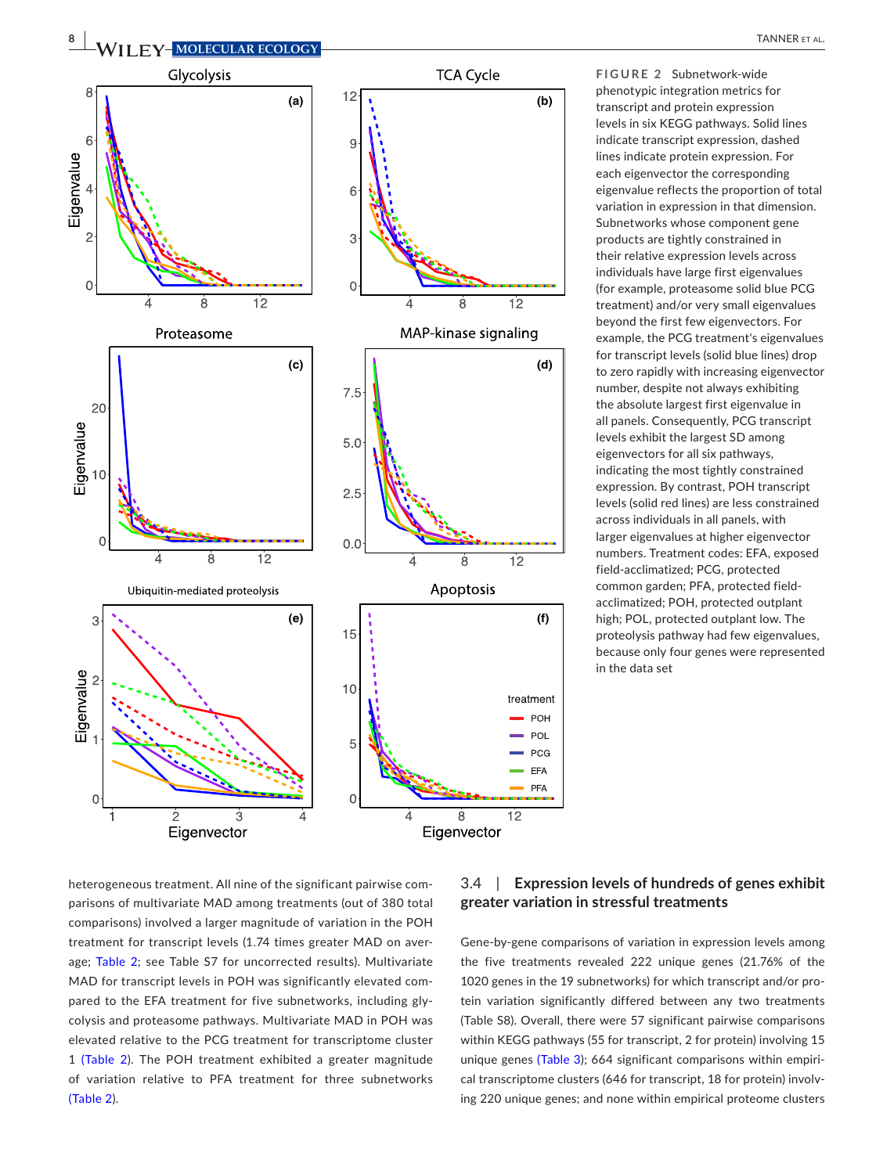

<span id="page-7-0"></span>**FIGURE 2** Subnetwork-wide phenotypic integration metrics for transcript and protein expression levels in six KEGG pathways. Solid lines indicate transcript expression, dashed lines indicate protein expression. For each eigenvector the corresponding eigenvalue reflects the proportion of total variation in expression in that dimension. Subnetworks whose component gene products are tightly constrained in their relative expression levels across individuals have large first eigenvalues (for example, proteasome solid blue PCG treatment) and/or very small eigenvalues beyond the first few eigenvectors. For example, the PCG treatment's eigenvalues for transcript levels (solid blue lines) drop to zero rapidly with increasing eigenvector number, despite not always exhibiting the absolute largest first eigenvalue in all panels. Consequently, PCG transcript levels exhibit the largest SD among eigenvectors for all six pathways, indicating the most tightly constrained expression. By contrast, POH transcript levels (solid red lines) are less constrained across individuals in all panels, with larger eigenvalues at higher eigenvector numbers. Treatment codes: EFA, exposed field-acclimatized; PCG, protected common garden; PFA, protected fieldacclimatized; POH, protected outplant high; POL, protected outplant low. The proteolysis pathway had few eigenvalues, because only four genes were represented in the data set

heterogeneous treatment. All nine of the significant pairwise comparisons of multivariate MAD among treatments (out of 380 total comparisons) involved a larger magnitude of variation in the POH treatment for transcript levels (1.74 times greater MAD on aver-age; Table [2](#page-8-0); see Table S7 for uncorrected results). Multivariate MAD for transcript levels in POH was significantly elevated compared to the EFA treatment for five subnetworks, including glycolysis and proteasome pathways. Multivariate MAD in POH was elevated relative to the PCG treatment for transcriptome cluster 1 (Table [2](#page-8-0)). The POH treatment exhibited a greater magnitude of variation relative to PFA treatment for three subnetworks (Table [2](#page-8-0)).

### 3.4 | **Expression levels of hundreds of genes exhibit greater variation in stressful treatments**

Gene-by-gene comparisons of variation in expression levels among the five treatments revealed 222 unique genes (21.76% of the 1020 genes in the 19 subnetworks) for which transcript and/or protein variation significantly differed between any two treatments (Table S8). Overall, there were 57 significant pairwise comparisons within KEGG pathways (55 for transcript, 2 for protein) involving 15 unique genes (Table [3\)](#page-9-0); 664 significant comparisons within empirical transcriptome clusters (646 for transcript, 18 for protein) involving 220 unique genes; and none within empirical proteome clusters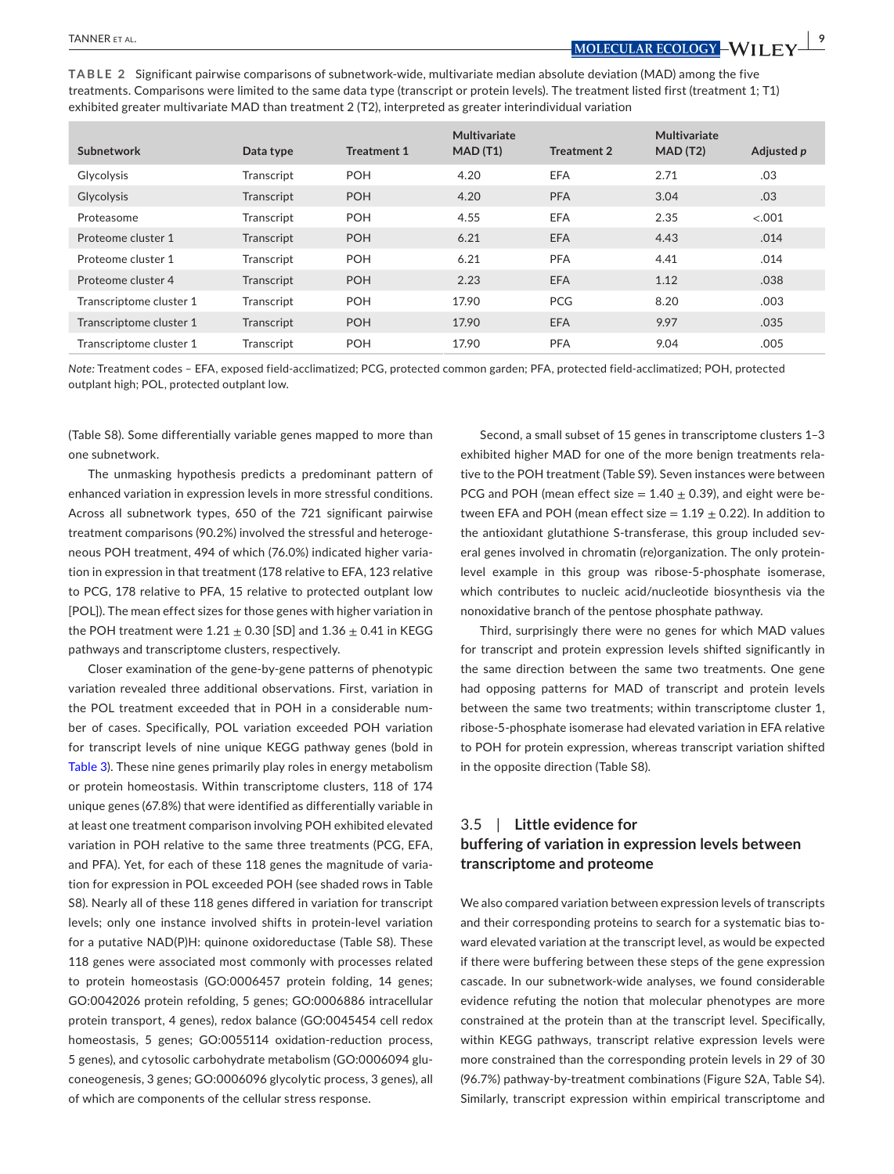TANNER et al. **<sup>|</sup> 9**

<span id="page-8-0"></span>**TABLE 2** Significant pairwise comparisons of subnetwork-wide, multivariate median absolute deviation (MAD) among the five treatments. Comparisons were limited to the same data type (transcript or protein levels). The treatment listed first (treatment 1; T1) exhibited greater multivariate MAD than treatment 2 (T2), interpreted as greater interindividual variation

| Subnetwork              | Data type  | <b>Treatment 1</b> | Multivariate<br>MAD(T1) | <b>Treatment 2</b> | Multivariate<br>MAD(T2) | Adjusted p |
|-------------------------|------------|--------------------|-------------------------|--------------------|-------------------------|------------|
| Glycolysis              | Transcript | <b>POH</b>         | 4.20                    | <b>EFA</b>         | 2.71                    | .03        |
| <b>Glycolysis</b>       | Transcript | <b>POH</b>         | 4.20                    | <b>PFA</b>         | 3.04                    | .03        |
| Proteasome              | Transcript | <b>POH</b>         | 4.55                    | EFA                | 2.35                    | < 0.001    |
| Proteome cluster 1      | Transcript | <b>POH</b>         | 6.21                    | <b>EFA</b>         | 4.43                    | .014       |
| Proteome cluster 1      | Transcript | <b>POH</b>         | 6.21                    | <b>PFA</b>         | 4.41                    | .014       |
| Proteome cluster 4      | Transcript | <b>POH</b>         | 2.23                    | <b>EFA</b>         | 1.12                    | .038       |
| Transcriptome cluster 1 | Transcript | <b>POH</b>         | 17.90                   | <b>PCG</b>         | 8.20                    | .003       |
| Transcriptome cluster 1 | Transcript | <b>POH</b>         | 17.90                   | <b>EFA</b>         | 9.97                    | .035       |
| Transcriptome cluster 1 | Transcript | <b>POH</b>         | 17.90                   | <b>PFA</b>         | 9.04                    | .005       |

*Note:* Treatment codes – EFA, exposed field-acclimatized; PCG, protected common garden; PFA, protected field-acclimatized; POH, protected outplant high; POL, protected outplant low.

(Table S8). Some differentially variable genes mapped to more than one subnetwork.

The unmasking hypothesis predicts a predominant pattern of enhanced variation in expression levels in more stressful conditions. Across all subnetwork types, 650 of the 721 significant pairwise treatment comparisons (90.2%) involved the stressful and heterogeneous POH treatment, 494 of which (76.0%) indicated higher variation in expression in that treatment (178 relative to EFA, 123 relative to PCG, 178 relative to PFA, 15 relative to protected outplant low [POL]). The mean effect sizes for those genes with higher variation in the POH treatment were  $1.21 \pm 0.30$  [SD] and  $1.36 \pm 0.41$  in KEGG pathways and transcriptome clusters, respectively.

Closer examination of the gene-by-gene patterns of phenotypic variation revealed three additional observations. First, variation in the POL treatment exceeded that in POH in a considerable number of cases. Specifically, POL variation exceeded POH variation for transcript levels of nine unique KEGG pathway genes (bold in Table [3](#page-9-0)). These nine genes primarily play roles in energy metabolism or protein homeostasis. Within transcriptome clusters, 118 of 174 unique genes (67.8%) that were identified as differentially variable in at least one treatment comparison involving POH exhibited elevated variation in POH relative to the same three treatments (PCG, EFA, and PFA). Yet, for each of these 118 genes the magnitude of variation for expression in POL exceeded POH (see shaded rows in Table S8). Nearly all of these 118 genes differed in variation for transcript levels; only one instance involved shifts in protein-level variation for a putative NAD(P)H: quinone oxidoreductase (Table S8). These 118 genes were associated most commonly with processes related to protein homeostasis (GO:0006457 protein folding, 14 genes; GO:0042026 protein refolding, 5 genes; GO:0006886 intracellular protein transport, 4 genes), redox balance (GO:0045454 cell redox homeostasis, 5 genes; GO:0055114 oxidation-reduction process, 5 genes), and cytosolic carbohydrate metabolism (GO:0006094 gluconeogenesis, 3 genes; GO:0006096 glycolytic process, 3 genes), all of which are components of the cellular stress response.

Second, a small subset of 15 genes in transcriptome clusters 1–3 exhibited higher MAD for one of the more benign treatments relative to the POH treatment (Table S9). Seven instances were between PCG and POH (mean effect size =  $1.40 \pm 0.39$ ), and eight were between EFA and POH (mean effect size  $= 1.19 \pm 0.22$ ). In addition to the antioxidant glutathione S-transferase, this group included several genes involved in chromatin (re)organization. The only proteinlevel example in this group was ribose-5-phosphate isomerase, which contributes to nucleic acid/nucleotide biosynthesis via the nonoxidative branch of the pentose phosphate pathway.

Third, surprisingly there were no genes for which MAD values for transcript and protein expression levels shifted significantly in the same direction between the same two treatments. One gene had opposing patterns for MAD of transcript and protein levels between the same two treatments; within transcriptome cluster 1, ribose-5-phosphate isomerase had elevated variation in EFA relative to POH for protein expression, whereas transcript variation shifted in the opposite direction (Table S8).

### 3.5 | **Little evidence for buffering of variation in expression levels between transcriptome and proteome**

We also compared variation between expression levels of transcripts and their corresponding proteins to search for a systematic bias toward elevated variation at the transcript level, as would be expected if there were buffering between these steps of the gene expression cascade. In our subnetwork-wide analyses, we found considerable evidence refuting the notion that molecular phenotypes are more constrained at the protein than at the transcript level. Specifically, within KEGG pathways, transcript relative expression levels were more constrained than the corresponding protein levels in 29 of 30 (96.7%) pathway-by-treatment combinations (Figure S2A, Table S4). Similarly, transcript expression within empirical transcriptome and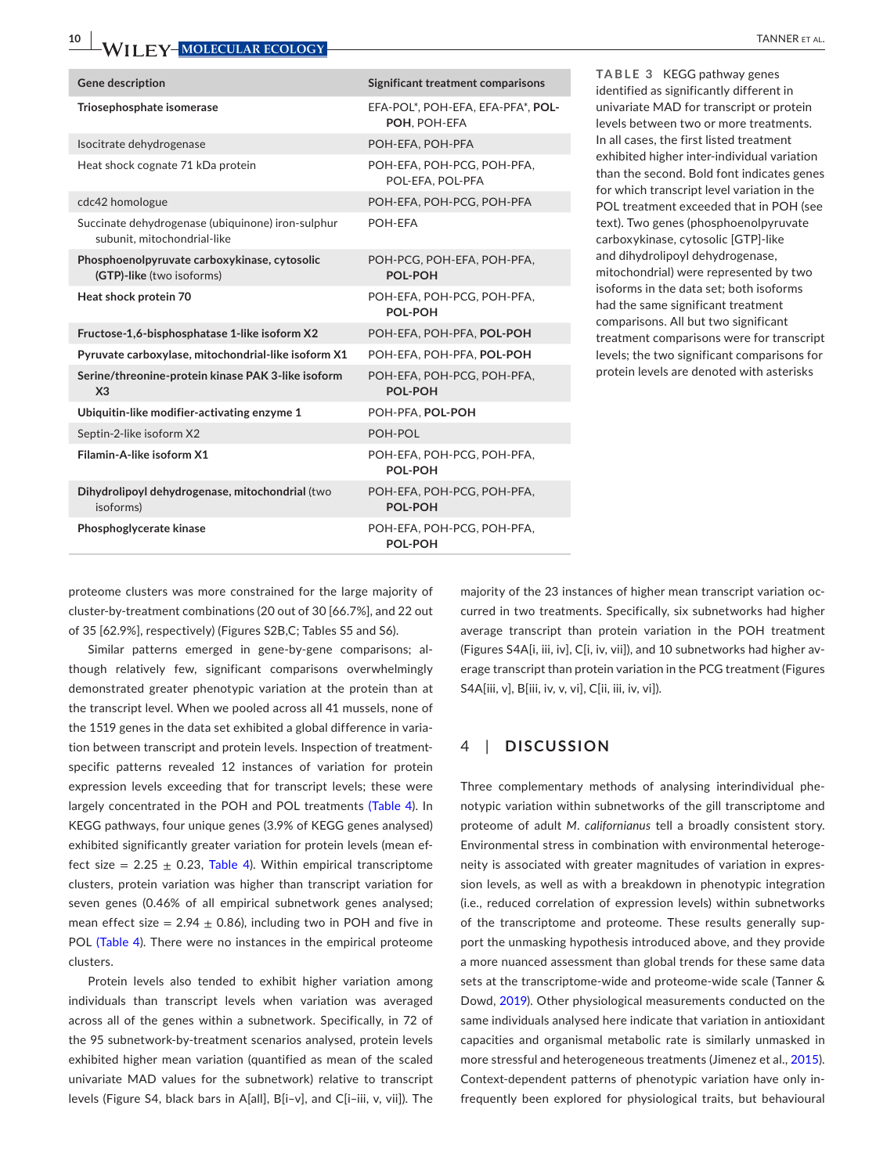| <b>Gene description</b>                                                          | Significant treatment comparisons                 |
|----------------------------------------------------------------------------------|---------------------------------------------------|
| Triosephosphate isomerase                                                        | EFA-POL*, POH-EFA, EFA-PFA*, POL-<br>POH, POH-EFA |
| Isocitrate dehydrogenase                                                         | POH-EFA, POH-PFA                                  |
| Heat shock cognate 71 kDa protein                                                | POH-EFA, POH-PCG, POH-PFA,<br>POL-EFA, POL-PFA    |
| cdc42 homologue                                                                  | POH-EFA, POH-PCG, POH-PFA                         |
| Succinate dehydrogenase (ubiquinone) iron-sulphur<br>subunit, mitochondrial-like | POH-EFA                                           |
| Phosphoenolpyruvate carboxykinase, cytosolic<br>(GTP)-like (two isoforms)        | POH-PCG, POH-EFA, POH-PFA,<br><b>POL-POH</b>      |
| Heat shock protein 70                                                            | POH-EFA, POH-PCG, POH-PFA,<br>POL-POH             |
| Fructose-1,6-bisphosphatase 1-like isoform X2                                    | POH-EFA, POH-PFA, POL-POH                         |
| Pyruvate carboxylase, mitochondrial-like isoform X1                              | POH-EFA. POH-PFA. POL-POH                         |
| Serine/threonine-protein kinase PAK 3-like isoform<br>X <sub>3</sub>             | POH-EFA, POH-PCG, POH-PFA,<br>POL-POH             |
| Ubiquitin-like modifier-activating enzyme 1                                      | POH-PFA, POL-POH                                  |
| Septin-2-like isoform X2                                                         | POH-POL                                           |
| Filamin-A-like isoform X1                                                        | POH-EFA, POH-PCG, POH-PFA,<br>POL-POH             |
| Dihydrolipoyl dehydrogenase, mitochondrial (two<br>isoforms)                     | POH-EFA, POH-PCG, POH-PFA,<br><b>POL-POH</b>      |
| Phosphoglycerate kinase                                                          | POH-EFA, POH-PCG, POH-PFA,<br>POL-POH             |

<span id="page-9-0"></span>**TABLE 3** KEGG pathway genes identified as significantly different in univariate MAD for transcript or protein levels between two or more treatments. In all cases, the first listed treatment exhibited higher inter-individual variation than the second. Bold font indicates genes for which transcript level variation in the POL treatment exceeded that in POH (see text). Two genes (phosphoenolpyruvate carboxykinase, cytosolic [GTP]-like and dihydrolipoyl dehydrogenase, mitochondrial) were represented by two isoforms in the data set; both isoforms had the same significant treatment comparisons. All but two significant treatment comparisons were for transcript levels; the two significant comparisons for protein levels are denoted with asterisks

proteome clusters was more constrained for the large majority of cluster-by-treatment combinations (20 out of 30 [66.7%], and 22 out of 35 [62.9%], respectively) (Figures S2B,C; Tables S5 and S6).

Similar patterns emerged in gene-by-gene comparisons; although relatively few, significant comparisons overwhelmingly demonstrated greater phenotypic variation at the protein than at the transcript level. When we pooled across all 41 mussels, none of the 1519 genes in the data set exhibited a global difference in variation between transcript and protein levels. Inspection of treatmentspecific patterns revealed 12 instances of variation for protein expression levels exceeding that for transcript levels; these were largely concentrated in the POH and POL treatments (Table [4](#page-10-0)). In KEGG pathways, four unique genes (3.9% of KEGG genes analysed) exhibited significantly greater variation for protein levels (mean effect size =  $2.25 \pm 0.23$ , Table [4](#page-10-0)). Within empirical transcriptome clusters, protein variation was higher than transcript variation for seven genes (0.46% of all empirical subnetwork genes analysed; mean effect size =  $2.94 \pm 0.86$ ), including two in POH and five in POL (Table [4](#page-10-0)). There were no instances in the empirical proteome clusters.

Protein levels also tended to exhibit higher variation among individuals than transcript levels when variation was averaged across all of the genes within a subnetwork. Specifically, in 72 of the 95 subnetwork-by-treatment scenarios analysed, protein levels exhibited higher mean variation (quantified as mean of the scaled univariate MAD values for the subnetwork) relative to transcript levels (Figure S4, black bars in A[all], B[i–v], and C[i–iii, v, vii]). The

majority of the 23 instances of higher mean transcript variation occurred in two treatments. Specifically, six subnetworks had higher average transcript than protein variation in the POH treatment (Figures S4A[i, iii, iv], C[i, iv, vii]), and 10 subnetworks had higher average transcript than protein variation in the PCG treatment (Figures S4A[iii, v], B[iii, iv, v, vi], C[ii, iii, iv, vi]).

### 4 | **DISCUSSION**

Three complementary methods of analysing interindividual phenotypic variation within subnetworks of the gill transcriptome and proteome of adult *M*. *californianus* tell a broadly consistent story. Environmental stress in combination with environmental heterogeneity is associated with greater magnitudes of variation in expression levels, as well as with a breakdown in phenotypic integration (i.e., reduced correlation of expression levels) within subnetworks of the transcriptome and proteome. These results generally support the unmasking hypothesis introduced above, and they provide a more nuanced assessment than global trends for these same data sets at the transcriptome-wide and proteome-wide scale (Tanner & Dowd, [2019](#page-14-6)). Other physiological measurements conducted on the same individuals analysed here indicate that variation in antioxidant capacities and organismal metabolic rate is similarly unmasked in more stressful and heterogeneous treatments (Jimenez et al., [2015](#page-13-15)). Context-dependent patterns of phenotypic variation have only infrequently been explored for physiological traits, but behavioural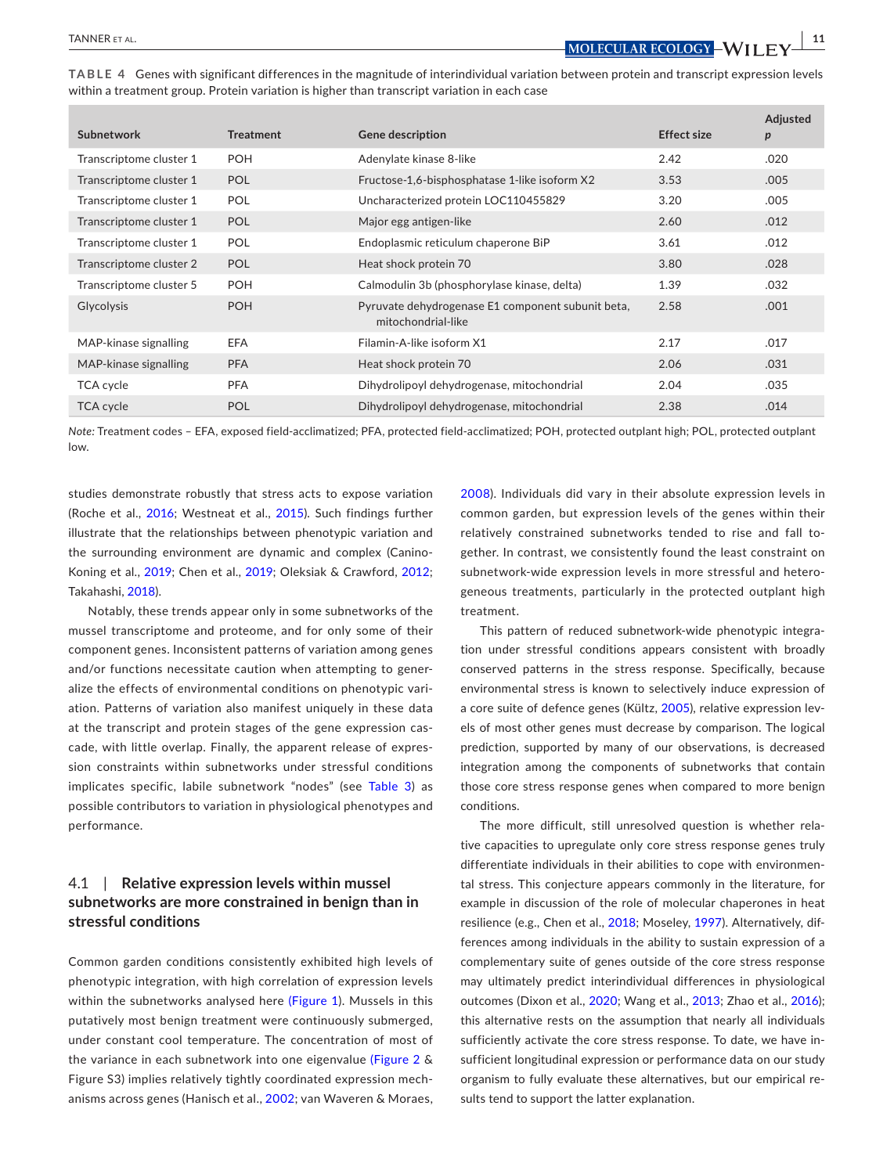<span id="page-10-0"></span>

| TABLE 4 Genes with significant differences in the magnitude of interindividual variation between protein and transcript expression levels |  |  |
|-------------------------------------------------------------------------------------------------------------------------------------------|--|--|
| within a treatment group. Protein variation is higher than transcript variation in each case                                              |  |  |

| Subnetwork              | <b>Treatment</b> | <b>Gene description</b>                                                 | <b>Effect size</b> | Adjusted<br>p |
|-------------------------|------------------|-------------------------------------------------------------------------|--------------------|---------------|
| Transcriptome cluster 1 | <b>POH</b>       | Adenylate kinase 8-like                                                 | 2.42               | .020          |
| Transcriptome cluster 1 | <b>POL</b>       | Fructose-1,6-bisphosphatase 1-like isoform X2                           | 3.53               | .005          |
| Transcriptome cluster 1 | <b>POL</b>       | Uncharacterized protein LOC110455829                                    | 3.20               | .005          |
| Transcriptome cluster 1 | POL              | Major egg antigen-like                                                  | 2.60               | .012          |
| Transcriptome cluster 1 | <b>POL</b>       | Endoplasmic reticulum chaperone BiP                                     | 3.61               | .012          |
| Transcriptome cluster 2 | <b>POL</b>       | Heat shock protein 70                                                   | 3.80               | .028          |
| Transcriptome cluster 5 | <b>POH</b>       | Calmodulin 3b (phosphorylase kinase, delta)                             | 1.39               | .032          |
| <b>Glycolysis</b>       | <b>POH</b>       | Pyruvate dehydrogenase E1 component subunit beta,<br>mitochondrial-like | 2.58               | .001          |
| MAP-kinase signalling   | <b>EFA</b>       | Filamin-A-like isoform X1                                               | 2.17               | .017          |
| MAP-kinase signalling   | <b>PFA</b>       | Heat shock protein 70                                                   | 2.06               | .031          |
| TCA cycle               | <b>PFA</b>       | Dihydrolipoyl dehydrogenase, mitochondrial                              | 2.04               | .035          |
| <b>TCA cycle</b>        | POL              | Dihydrolipoyl dehydrogenase, mitochondrial                              | 2.38               | .014          |

*Note:* Treatment codes – EFA, exposed field-acclimatized; PFA, protected field-acclimatized; POH, protected outplant high; POL, protected outplant low.

studies demonstrate robustly that stress acts to expose variation (Roche et al., [2016](#page-14-28); Westneat et al., [2015](#page-15-6)). Such findings further illustrate that the relationships between phenotypic variation and the surrounding environment are dynamic and complex (Canino-Koning et al., [2019](#page-13-23); Chen et al., [2019;](#page-13-24) Oleksiak & Crawford, [2012](#page-14-1); Takahashi, [2018](#page-14-29)).

Notably, these trends appear only in some subnetworks of the mussel transcriptome and proteome, and for only some of their component genes. Inconsistent patterns of variation among genes and/or functions necessitate caution when attempting to generalize the effects of environmental conditions on phenotypic variation. Patterns of variation also manifest uniquely in these data at the transcript and protein stages of the gene expression cascade, with little overlap. Finally, the apparent release of expression constraints within subnetworks under stressful conditions implicates specific, labile subnetwork "nodes" (see Table [3](#page-9-0)) as possible contributors to variation in physiological phenotypes and performance.

### 4.1 | **Relative expression levels within mussel subnetworks are more constrained in benign than in stressful conditions**

Common garden conditions consistently exhibited high levels of phenotypic integration, with high correlation of expression levels within the subnetworks analysed here (Figure [1](#page-6-0)). Mussels in this putatively most benign treatment were continuously submerged, under constant cool temperature. The concentration of most of the variance in each subnetwork into one eigenvalue (Figure [2](#page-7-0) & Figure S3) implies relatively tightly coordinated expression mechanisms across genes (Hanisch et al., [2002](#page-13-25); van Waveren & Moraes, [2008\)](#page-15-7). Individuals did vary in their absolute expression levels in common garden, but expression levels of the genes within their relatively constrained subnetworks tended to rise and fall together. In contrast, we consistently found the least constraint on subnetwork-wide expression levels in more stressful and heterogeneous treatments, particularly in the protected outplant high treatment.

This pattern of reduced subnetwork-wide phenotypic integration under stressful conditions appears consistent with broadly conserved patterns in the stress response. Specifically, because environmental stress is known to selectively induce expression of a core suite of defence genes (Kültz, [2005](#page-14-7)), relative expression levels of most other genes must decrease by comparison. The logical prediction, supported by many of our observations, is decreased integration among the components of subnetworks that contain those core stress response genes when compared to more benign conditions.

The more difficult, still unresolved question is whether relative capacities to upregulate only core stress response genes truly differentiate individuals in their abilities to cope with environmental stress. This conjecture appears commonly in the literature, for example in discussion of the role of molecular chaperones in heat resilience (e.g., Chen et al., [2018;](#page-13-26) Moseley, [1997](#page-14-30)). Alternatively, differences among individuals in the ability to sustain expression of a complementary suite of genes outside of the core stress response may ultimately predict interindividual differences in physiological outcomes (Dixon et al., [2020](#page-13-27); Wang et al., [2013;](#page-15-8) Zhao et al., [2016](#page-15-9)); this alternative rests on the assumption that nearly all individuals sufficiently activate the core stress response. To date, we have insufficient longitudinal expression or performance data on our study organism to fully evaluate these alternatives, but our empirical results tend to support the latter explanation.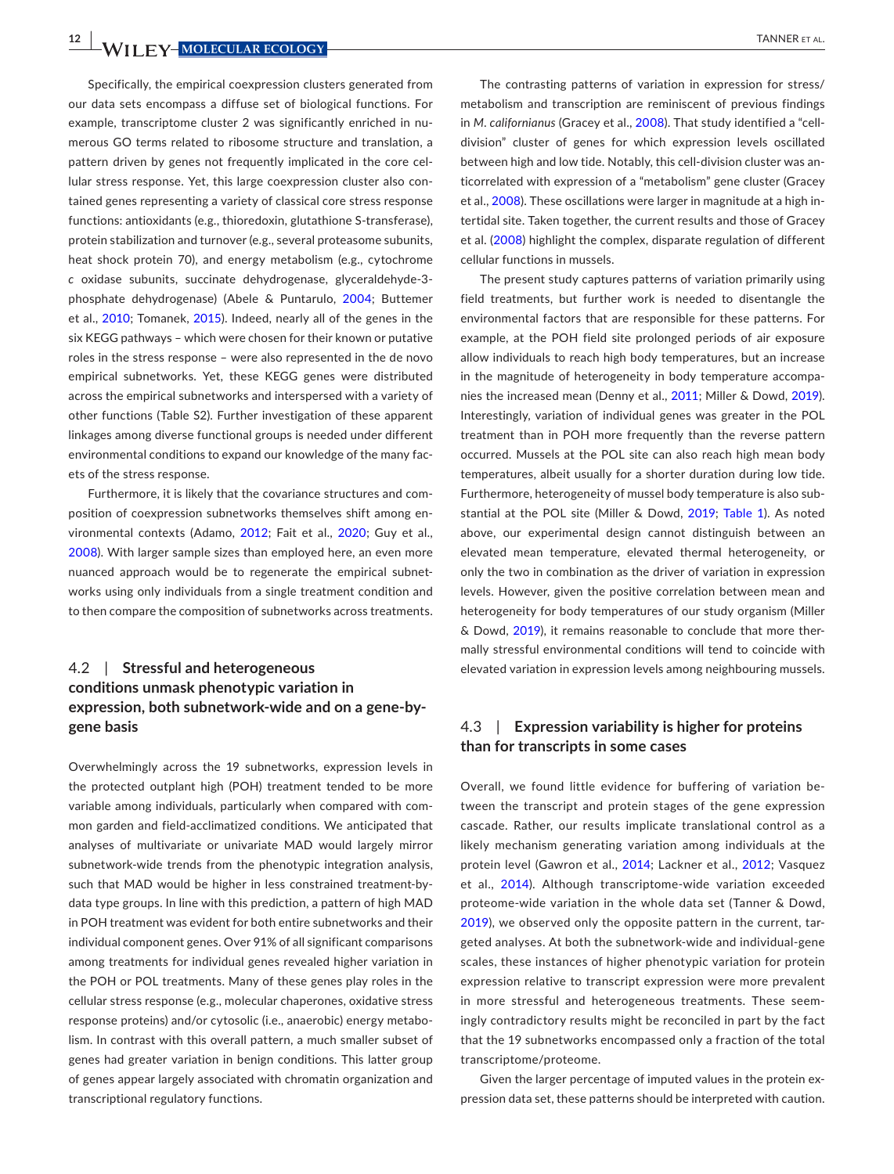**12 WII FY-MOLECULAR ECOLOGY TANNER ET AL.** 

Specifically, the empirical coexpression clusters generated from our data sets encompass a diffuse set of biological functions. For example, transcriptome cluster 2 was significantly enriched in numerous GO terms related to ribosome structure and translation, a pattern driven by genes not frequently implicated in the core cellular stress response. Yet, this large coexpression cluster also contained genes representing a variety of classical core stress response functions: antioxidants (e.g., thioredoxin, glutathione S-transferase), protein stabilization and turnover (e.g., several proteasome subunits, heat shock protein 70), and energy metabolism (e.g., cytochrome *c* oxidase subunits, succinate dehydrogenase, glyceraldehyde-3 phosphate dehydrogenase) (Abele & Puntarulo, [2004](#page-12-3); Buttemer et al., [2010](#page-13-28); Tomanek, [2015](#page-15-10)). Indeed, nearly all of the genes in the six KEGG pathways – which were chosen for their known or putative roles in the stress response – were also represented in the de novo empirical subnetworks. Yet, these KEGG genes were distributed across the empirical subnetworks and interspersed with a variety of other functions (Table S2). Further investigation of these apparent linkages among diverse functional groups is needed under different environmental conditions to expand our knowledge of the many facets of the stress response.

Furthermore, it is likely that the covariance structures and composition of coexpression subnetworks themselves shift among environmental contexts (Adamo, [2012](#page-12-4); Fait et al., [2020](#page-13-29); Guy et al., [2008\)](#page-13-30). With larger sample sizes than employed here, an even more nuanced approach would be to regenerate the empirical subnetworks using only individuals from a single treatment condition and to then compare the composition of subnetworks across treatments.

### 4.2 | **Stressful and heterogeneous conditions unmask phenotypic variation in expression, both subnetwork-wide and on a gene-bygene basis**

Overwhelmingly across the 19 subnetworks, expression levels in the protected outplant high (POH) treatment tended to be more variable among individuals, particularly when compared with common garden and field-acclimatized conditions. We anticipated that analyses of multivariate or univariate MAD would largely mirror subnetwork-wide trends from the phenotypic integration analysis, such that MAD would be higher in less constrained treatment-bydata type groups. In line with this prediction, a pattern of high MAD in POH treatment was evident for both entire subnetworks and their individual component genes. Over 91% of all significant comparisons among treatments for individual genes revealed higher variation in the POH or POL treatments. Many of these genes play roles in the cellular stress response (e.g., molecular chaperones, oxidative stress response proteins) and/or cytosolic (i.e., anaerobic) energy metabolism. In contrast with this overall pattern, a much smaller subset of genes had greater variation in benign conditions. This latter group of genes appear largely associated with chromatin organization and transcriptional regulatory functions.

The contrasting patterns of variation in expression for stress/ metabolism and transcription are reminiscent of previous findings in *M*. *californianus* (Gracey et al., [2008\)](#page-13-16). That study identified a "celldivision" cluster of genes for which expression levels oscillated between high and low tide. Notably, this cell-division cluster was anticorrelated with expression of a "metabolism" gene cluster (Gracey et al., [2008\)](#page-13-16). These oscillations were larger in magnitude at a high intertidal site. Taken together, the current results and those of Gracey et al. ([2008](#page-13-16)) highlight the complex, disparate regulation of different cellular functions in mussels.

The present study captures patterns of variation primarily using field treatments, but further work is needed to disentangle the environmental factors that are responsible for these patterns. For example, at the POH field site prolonged periods of air exposure allow individuals to reach high body temperatures, but an increase in the magnitude of heterogeneity in body temperature accompa-nies the increased mean (Denny et al., [2011](#page-13-9); Miller & Dowd, [2019\)](#page-14-16). Interestingly, variation of individual genes was greater in the POL treatment than in POH more frequently than the reverse pattern occurred. Mussels at the POL site can also reach high mean body temperatures, albeit usually for a shorter duration during low tide. Furthermore, heterogeneity of mussel body temperature is also substantial at the POL site (Miller & Dowd, [2019](#page-14-16); Table [1](#page-2-0)). As noted above, our experimental design cannot distinguish between an elevated mean temperature, elevated thermal heterogeneity, or only the two in combination as the driver of variation in expression levels. However, given the positive correlation between mean and heterogeneity for body temperatures of our study organism (Miller & Dowd, [2019](#page-14-16)), it remains reasonable to conclude that more thermally stressful environmental conditions will tend to coincide with elevated variation in expression levels among neighbouring mussels.

### 4.3 | **Expression variability is higher for proteins than for transcripts in some cases**

Overall, we found little evidence for buffering of variation between the transcript and protein stages of the gene expression cascade. Rather, our results implicate translational control as a likely mechanism generating variation among individuals at the protein level (Gawron et al., [2014](#page-13-31); Lackner et al., [2012](#page-14-13); Vasquez et al., [2014](#page-15-11)). Although transcriptome-wide variation exceeded proteome-wide variation in the whole data set (Tanner & Dowd, [2019\)](#page-14-6), we observed only the opposite pattern in the current, targeted analyses. At both the subnetwork-wide and individual-gene scales, these instances of higher phenotypic variation for protein expression relative to transcript expression were more prevalent in more stressful and heterogeneous treatments. These seemingly contradictory results might be reconciled in part by the fact that the 19 subnetworks encompassed only a fraction of the total transcriptome/proteome.

Given the larger percentage of imputed values in the protein expression data set, these patterns should be interpreted with caution.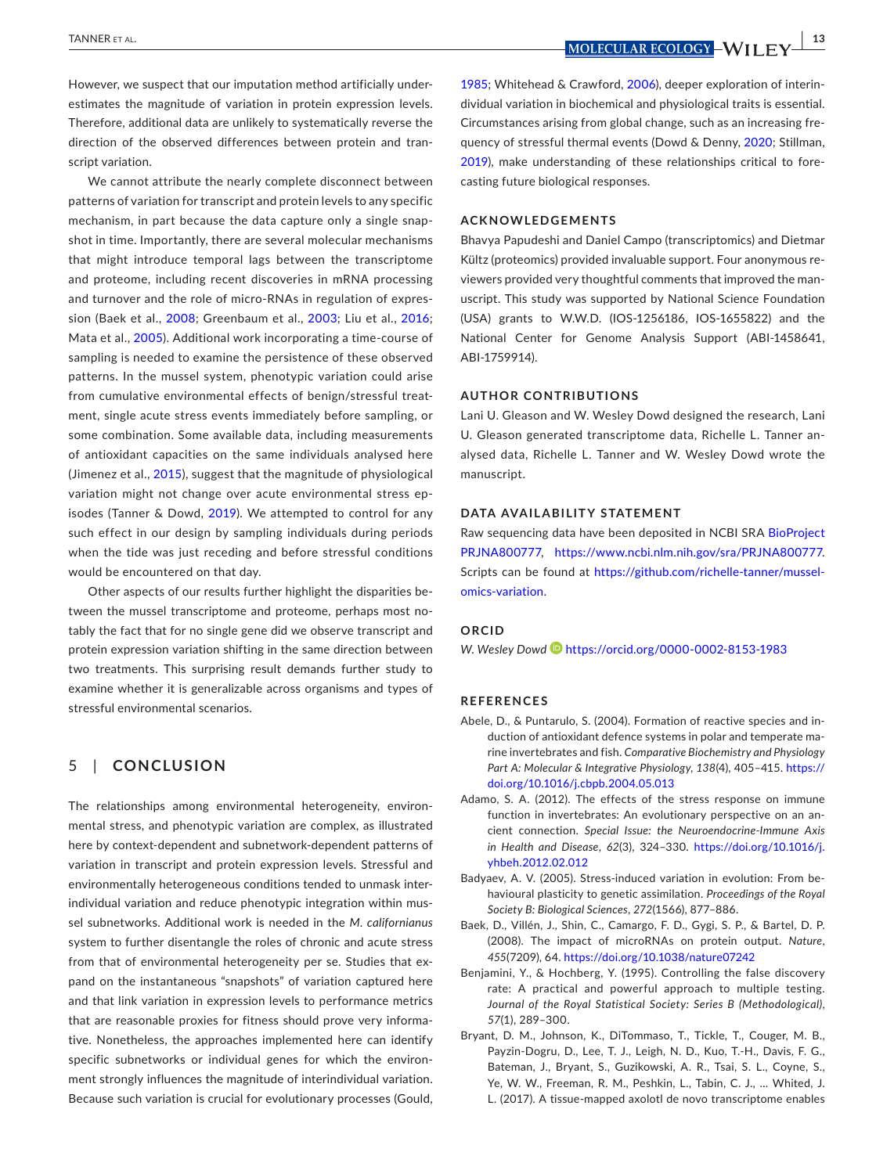However, we suspect that our imputation method artificially underestimates the magnitude of variation in protein expression levels. Therefore, additional data are unlikely to systematically reverse the direction of the observed differences between protein and transcript variation.

We cannot attribute the nearly complete disconnect between patterns of variation for transcript and protein levels to any specific mechanism, in part because the data capture only a single snapshot in time. Importantly, there are several molecular mechanisms that might introduce temporal lags between the transcriptome and proteome, including recent discoveries in mRNA processing and turnover and the role of micro-RNAs in regulation of expression (Baek et al., [2008](#page-12-5); Greenbaum et al., [2003;](#page-13-32) Liu et al., [2016](#page-14-12); Mata et al., [2005](#page-14-31)). Additional work incorporating a time-course of sampling is needed to examine the persistence of these observed patterns. In the mussel system, phenotypic variation could arise from cumulative environmental effects of benign/stressful treatment, single acute stress events immediately before sampling, or some combination. Some available data, including measurements of antioxidant capacities on the same individuals analysed here (Jimenez et al., [2015](#page-13-15)), suggest that the magnitude of physiological variation might not change over acute environmental stress episodes (Tanner & Dowd, [2019\)](#page-14-6). We attempted to control for any such effect in our design by sampling individuals during periods when the tide was just receding and before stressful conditions would be encountered on that day.

Other aspects of our results further highlight the disparities between the mussel transcriptome and proteome, perhaps most notably the fact that for no single gene did we observe transcript and protein expression variation shifting in the same direction between two treatments. This surprising result demands further study to examine whether it is generalizable across organisms and types of stressful environmental scenarios.

### 5 | **CONCLUSION**

The relationships among environmental heterogeneity, environmental stress, and phenotypic variation are complex, as illustrated here by context-dependent and subnetwork-dependent patterns of variation in transcript and protein expression levels. Stressful and environmentally heterogeneous conditions tended to unmask interindividual variation and reduce phenotypic integration within mussel subnetworks. Additional work is needed in the *M. californianus* system to further disentangle the roles of chronic and acute stress from that of environmental heterogeneity per se. Studies that expand on the instantaneous "snapshots" of variation captured here and that link variation in expression levels to performance metrics that are reasonable proxies for fitness should prove very informative. Nonetheless, the approaches implemented here can identify specific subnetworks or individual genes for which the environment strongly influences the magnitude of interindividual variation. Because such variation is crucial for evolutionary processes (Gould,

 **<u>MOLECULAR ECOLOGY</u>** - WILL FV  $\frac{13}{2}$ 

[1985](#page-13-33); Whitehead & Crawford, [2006](#page-15-12)), deeper exploration of interindividual variation in biochemical and physiological traits is essential. Circumstances arising from global change, such as an increasing frequency of stressful thermal events (Dowd & Denny, [2020](#page-13-34); Stillman, [2019](#page-14-32)), make understanding of these relationships critical to forecasting future biological responses.

#### **ACKNOWLEDGEMENTS**

Bhavya Papudeshi and Daniel Campo (transcriptomics) and Dietmar Kültz (proteomics) provided invaluable support. Four anonymous reviewers provided very thoughtful comments that improved the manuscript. This study was supported by National Science Foundation (USA) grants to W.W.D. (IOS-1256186, IOS-1655822) and the National Center for Genome Analysis Support (ABI-1458641, ABI-1759914).

#### **AUTHOR CONTRIBUTIONS**

Lani U. Gleason and W. Wesley Dowd designed the research, Lani U. Gleason generated transcriptome data, Richelle L. Tanner analysed data, Richelle L. Tanner and W. Wesley Dowd wrote the manuscript.

#### **DATA AVAILABILITY STATEMENT**

Raw sequencing data have been deposited in NCBI SRA BioProject [PRJNA800777](info:x-wiley/peptideatlas/PRJNA800777), <https://www.ncbi.nlm.nih.gov/sra/PRJNA800777>. Scripts can be found at [https://github.com/richelle-tanner/mussel](https://github.com/richelle-tanner/mussel-omics-variation)[omics-variation](https://github.com/richelle-tanner/mussel-omics-variation).

#### **ORCID**

*W. Wesley Dow[d](https://orcid.org/0000-0002-8153-1983)* <https://orcid.org/0000-0002-8153-1983>

#### **REFERENCES**

- <span id="page-12-3"></span>Abele, D., & Puntarulo, S. (2004). Formation of reactive species and induction of antioxidant defence systems in polar and temperate marine invertebrates and fish. *Comparative Biochemistry and Physiology Part A: Molecular & Integrative Physiology*, *138*(4), 405–415. [https://](https://doi.org/10.1016/j.cbpb.2004.05.013) [doi.org/10.1016/j.cbpb.2004.05.013](https://doi.org/10.1016/j.cbpb.2004.05.013)
- <span id="page-12-4"></span>Adamo, S. A. (2012). The effects of the stress response on immune function in invertebrates: An evolutionary perspective on an ancient connection. *Special Issue: the Neuroendocrine-Immune Axis in Health and Disease*, *62*(3), 324–330. [https://doi.org/10.1016/j.](https://doi.org/10.1016/j.yhbeh.2012.02.012) [yhbeh.2012.02.012](https://doi.org/10.1016/j.yhbeh.2012.02.012)
- <span id="page-12-0"></span>Badyaev, A. V. (2005). Stress-induced variation in evolution: From behavioural plasticity to genetic assimilation. *Proceedings of the Royal Society B: Biological Sciences*, *272*(1566), 877–886.
- <span id="page-12-5"></span>Baek, D., Villén, J., Shin, C., Camargo, F. D., Gygi, S. P., & Bartel, D. P. (2008). The impact of microRNAs on protein output. *Nature*, *455*(7209), 64. <https://doi.org/10.1038/nature07242>
- <span id="page-12-2"></span>Benjamini, Y., & Hochberg, Y. (1995). Controlling the false discovery rate: A practical and powerful approach to multiple testing. *Journal of the Royal Statistical Society: Series B (Methodological)*, *57*(1), 289–300.
- <span id="page-12-1"></span>Bryant, D. M., Johnson, K., DiTommaso, T., Tickle, T., Couger, M. B., Payzin-Dogru, D., Lee, T. J., Leigh, N. D., Kuo, T.-H., Davis, F. G., Bateman, J., Bryant, S., Guzikowski, A. R., Tsai, S. L., Coyne, S., Ye, W. W., Freeman, R. M., Peshkin, L., Tabin, C. J., … Whited, J. L. (2017). A tissue-mapped axolotl de novo transcriptome enables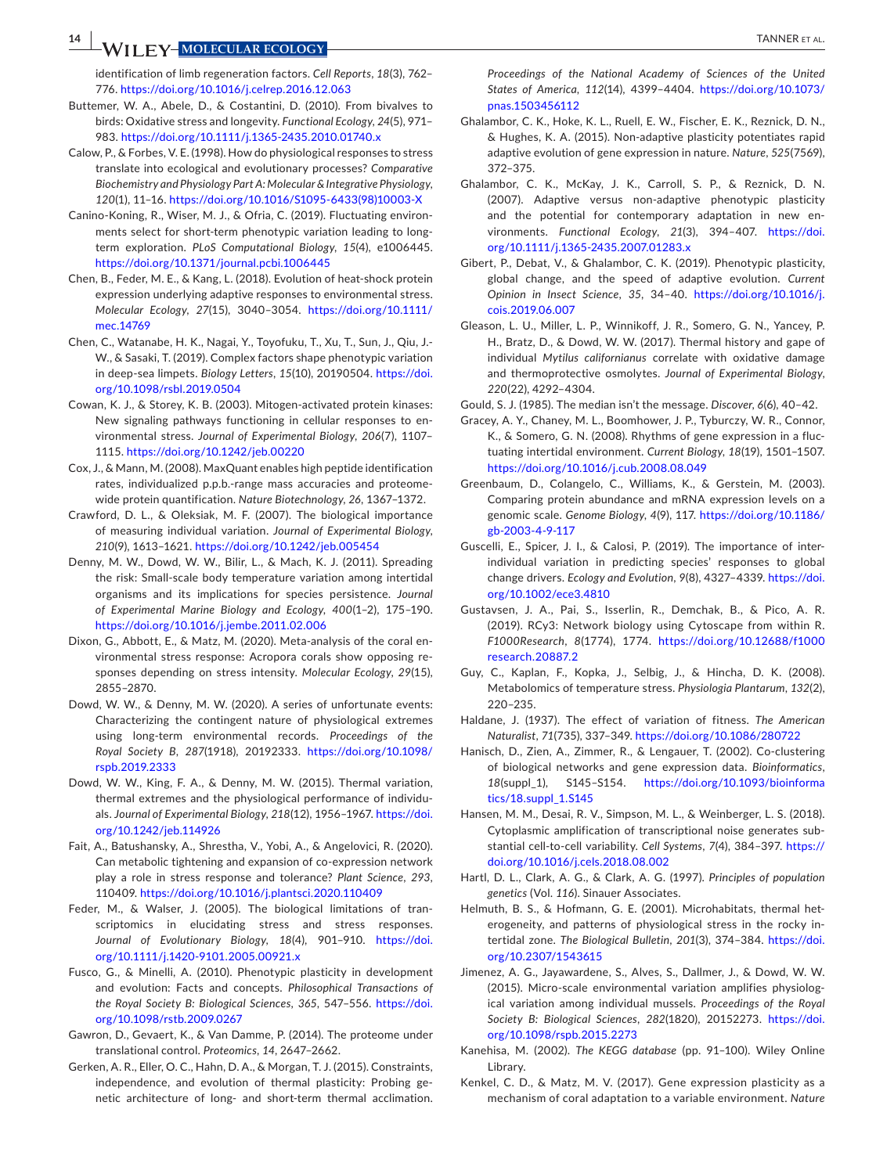# **14 ANDER EXECUTE ARE SECOLOGY 14 ANDER ET AL.**

identification of limb regeneration factors. *Cell Reports*, *18*(3), 762– 776.<https://doi.org/10.1016/j.celrep.2016.12.063>

- <span id="page-13-28"></span>Buttemer, W. A., Abele, D., & Costantini, D. (2010). From bivalves to birds: Oxidative stress and longevity. *Functional Ecology*, *24*(5), 971– 983. <https://doi.org/10.1111/j.1365-2435.2010.01740.x>
- <span id="page-13-19"></span>Calow, P., & Forbes, V. E. (1998). How do physiological responses to stress translate into ecological and evolutionary processes? *Comparative Biochemistry and Physiology Part A: Molecular & Integrative Physiology*, *120*(1), 11–16. [https://doi.org/10.1016/S1095-6433\(98\)10003-X](https://doi.org/10.1016/S1095-6433(98)10003-X)
- <span id="page-13-23"></span>Canino-Koning, R., Wiser, M. J., & Ofria, C. (2019). Fluctuating environments select for short-term phenotypic variation leading to longterm exploration. *PLoS Computational Biology*, *15*(4), e1006445. <https://doi.org/10.1371/journal.pcbi.1006445>
- <span id="page-13-26"></span>Chen, B., Feder, M. E., & Kang, L. (2018). Evolution of heat-shock protein expression underlying adaptive responses to environmental stress. *Molecular Ecology*, *27*(15), 3040–3054. [https://doi.org/10.1111/](https://doi.org/10.1111/mec.14769) [mec.14769](https://doi.org/10.1111/mec.14769)
- <span id="page-13-24"></span>Chen, C., Watanabe, H. K., Nagai, Y., Toyofuku, T., Xu, T., Sun, J., Qiu, J.- W., & Sasaki, T. (2019). Complex factors shape phenotypic variation in deep-sea limpets. *Biology Letters*, *15*(10), 20190504. [https://doi.](https://doi.org/10.1098/rsbl.2019.0504) [org/10.1098/rsbl.2019.0504](https://doi.org/10.1098/rsbl.2019.0504)
- <span id="page-13-20"></span>Cowan, K. J., & Storey, K. B. (2003). Mitogen-activated protein kinases: New signaling pathways functioning in cellular responses to environmental stress. *Journal of Experimental Biology*, *206*(7), 1107– 1115. <https://doi.org/10.1242/jeb.00220>
- <span id="page-13-17"></span>Cox, J., & Mann, M. (2008). MaxQuant enables high peptide identification rates, individualized p.p.b.-range mass accuracies and proteomewide protein quantification. *Nature Biotechnology*, *26*, 1367–1372.
- <span id="page-13-4"></span>Crawford, D. L., & Oleksiak, M. F. (2007). The biological importance of measuring individual variation. *Journal of Experimental Biology*, *210*(9), 1613–1621.<https://doi.org/10.1242/jeb.005454>
- <span id="page-13-9"></span>Denny, M. W., Dowd, W. W., Bilir, L., & Mach, K. J. (2011). Spreading the risk: Small-scale body temperature variation among intertidal organisms and its implications for species persistence. *Journal of Experimental Marine Biology and Ecology*, *400*(1–2), 175–190. <https://doi.org/10.1016/j.jembe.2011.02.006>
- <span id="page-13-27"></span>Dixon, G., Abbott, E., & Matz, M. (2020). Meta-analysis of the coral environmental stress response: Acropora corals show opposing responses depending on stress intensity. *Molecular Ecology*, *29*(15), 2855–2870.
- <span id="page-13-34"></span>Dowd, W. W., & Denny, M. W. (2020). A series of unfortunate events: Characterizing the contingent nature of physiological extremes using long-term environmental records. *Proceedings of the Royal Society B*, *287*(1918), 20192333. [https://doi.org/10.1098/](https://doi.org/10.1098/rspb.2019.2333) [rspb.2019.2333](https://doi.org/10.1098/rspb.2019.2333)
- <span id="page-13-8"></span>Dowd, W. W., King, F. A., & Denny, M. W. (2015). Thermal variation, thermal extremes and the physiological performance of individuals. *Journal of Experimental Biology*, *218*(12), 1956–1967. [https://doi.](https://doi.org/10.1242/jeb.114926) [org/10.1242/jeb.114926](https://doi.org/10.1242/jeb.114926)
- <span id="page-13-29"></span>Fait, A., Batushansky, A., Shrestha, V., Yobi, A., & Angelovici, R. (2020). Can metabolic tightening and expansion of co-expression network play a role in stress response and tolerance? *Plant Science*, *293*, 110409.<https://doi.org/10.1016/j.plantsci.2020.110409>
- <span id="page-13-14"></span>Feder, M., & Walser, J. (2005). The biological limitations of transcriptomics in elucidating stress and stress responses. *Journal of Evolutionary Biology*, *18*(4), 901–910. [https://doi.](https://doi.org/10.1111/j.1420-9101.2005.00921.x) [org/10.1111/j.1420-9101.2005.00921.x](https://doi.org/10.1111/j.1420-9101.2005.00921.x)
- <span id="page-13-0"></span>Fusco, G., & Minelli, A. (2010). Phenotypic plasticity in development and evolution: Facts and concepts. *Philosophical Transactions of the Royal Society B: Biological Sciences*, *365*, 547–556. [https://doi.](https://doi.org/10.1098/rstb.2009.0267) [org/10.1098/rstb.2009.0267](https://doi.org/10.1098/rstb.2009.0267)
- <span id="page-13-31"></span>Gawron, D., Gevaert, K., & Van Damme, P. (2014). The proteome under translational control. *Proteomics*, *14*, 2647–2662.
- <span id="page-13-3"></span>Gerken, A. R., Eller, O. C., Hahn, D. A., & Morgan, T. J. (2015). Constraints, independence, and evolution of thermal plasticity: Probing genetic architecture of long- and short-term thermal acclimation.

*Proceedings of the National Academy of Sciences of the United States of America*, *112*(14), 4399–4404. [https://doi.org/10.1073/](https://doi.org/10.1073/pnas.1503456112) [pnas.1503456112](https://doi.org/10.1073/pnas.1503456112)

- <span id="page-13-12"></span>Ghalambor, C. K., Hoke, K. L., Ruell, E. W., Fischer, E. K., Reznick, D. N., & Hughes, K. A. (2015). Non-adaptive plasticity potentiates rapid adaptive evolution of gene expression in nature. *Nature*, *525*(7569), 372–375.
- <span id="page-13-6"></span>Ghalambor, C. K., McKay, J. K., Carroll, S. P., & Reznick, D. N. (2007). Adaptive versus non-adaptive phenotypic plasticity and the potential for contemporary adaptation in new environments. *Functional Ecology*, *21*(3), 394–407. [https://doi.](https://doi.org/10.1111/j.1365-2435.2007.01283.x) [org/10.1111/j.1365-2435.2007.01283.x](https://doi.org/10.1111/j.1365-2435.2007.01283.x)
- <span id="page-13-5"></span>Gibert, P., Debat, V., & Ghalambor, C. K. (2019). Phenotypic plasticity, global change, and the speed of adaptive evolution. *Current Opinion in Insect Science*, *35*, 34–40. [https://doi.org/10.1016/j.](https://doi.org/10.1016/j.cois.2019.06.007) [cois.2019.06.007](https://doi.org/10.1016/j.cois.2019.06.007)
- <span id="page-13-11"></span>Gleason, L. U., Miller, L. P., Winnikoff, J. R., Somero, G. N., Yancey, P. H., Bratz, D., & Dowd, W. W. (2017). Thermal history and gape of individual *Mytilus californianus* correlate with oxidative damage and thermoprotective osmolytes. *Journal of Experimental Biology*, *220*(22), 4292–4304.

<span id="page-13-33"></span>Gould, S. J. (1985). The median isn't the message. *Discover*, *6*(6), 40–42.

- <span id="page-13-16"></span>Gracey, A. Y., Chaney, M. L., Boomhower, J. P., Tyburczy, W. R., Connor, K., & Somero, G. N. (2008). Rhythms of gene expression in a fluctuating intertidal environment. *Current Biology*, *18*(19), 1501–1507. <https://doi.org/10.1016/j.cub.2008.08.049>
- <span id="page-13-32"></span>Greenbaum, D., Colangelo, C., Williams, K., & Gerstein, M. (2003). Comparing protein abundance and mRNA expression levels on a genomic scale. *Genome Biology*, *4*(9), 117. [https://doi.org/10.1186/](https://doi.org/10.1186/gb-2003-4-9-117) [gb-2003-4-9-117](https://doi.org/10.1186/gb-2003-4-9-117)
- <span id="page-13-7"></span>Guscelli, E., Spicer, J. I., & Calosi, P. (2019). The importance of interindividual variation in predicting species' responses to global change drivers. *Ecology and Evolution*, *9*(8), 4327–4339. [https://doi.](https://doi.org/10.1002/ece3.4810) [org/10.1002/ece3.4810](https://doi.org/10.1002/ece3.4810)
- <span id="page-13-22"></span>Gustavsen, J. A., Pai, S., Isserlin, R., Demchak, B., & Pico, A. R. (2019). RCy3: Network biology using Cytoscape from within R. *F1000Research*, *8*(1774), 1774. [https://doi.org/10.12688/f1000](https://doi.org/10.12688/f1000research.20887.2) [research.20887.2](https://doi.org/10.12688/f1000research.20887.2)
- <span id="page-13-30"></span>Guy, C., Kaplan, F., Kopka, J., Selbig, J., & Hincha, D. K. (2008). Metabolomics of temperature stress. *Physiologia Plantarum*, *132*(2), 220–235.
- <span id="page-13-1"></span>Haldane, J. (1937). The effect of variation of fitness. *The American Naturalist*, *71*(735), 337–349.<https://doi.org/10.1086/280722>
- <span id="page-13-25"></span>Hanisch, D., Zien, A., Zimmer, R., & Lengauer, T. (2002). Co-clustering of biological networks and gene expression data. *Bioinformatics*, *18*(suppl\_1), S145–S154. [https://doi.org/10.1093/bioinforma](https://doi.org/10.1093/bioinformatics/18.suppl_1.S145) [tics/18.suppl\\_1.S145](https://doi.org/10.1093/bioinformatics/18.suppl_1.S145)
- <span id="page-13-13"></span>Hansen, M. M., Desai, R. V., Simpson, M. L., & Weinberger, L. S. (2018). Cytoplasmic amplification of transcriptional noise generates substantial cell-to-cell variability. *Cell Systems*, *7*(4), 384–397. [https://](https://doi.org/10.1016/j.cels.2018.08.002) [doi.org/10.1016/j.cels.2018.08.002](https://doi.org/10.1016/j.cels.2018.08.002)
- <span id="page-13-2"></span>Hartl, D. L., Clark, A. G., & Clark, A. G. (1997). *Principles of population genetics* (Vol. *116*). Sinauer Associates.
- <span id="page-13-10"></span>Helmuth, B. S., & Hofmann, G. E. (2001). Microhabitats, thermal heterogeneity, and patterns of physiological stress in the rocky intertidal zone. *The Biological Bulletin*, *201*(3), 374–384. [https://doi.](https://doi.org/10.2307/1543615) [org/10.2307/1543615](https://doi.org/10.2307/1543615)
- <span id="page-13-15"></span>Jimenez, A. G., Jayawardene, S., Alves, S., Dallmer, J., & Dowd, W. W. (2015). Micro-scale environmental variation amplifies physiological variation among individual mussels. *Proceedings of the Royal Society B: Biological Sciences*, *282*(1820), 20152273. [https://doi.](https://doi.org/10.1098/rspb.2015.2273) [org/10.1098/rspb.2015.2273](https://doi.org/10.1098/rspb.2015.2273)
- <span id="page-13-18"></span>Kanehisa, M. (2002). *The KEGG database* (pp. 91–100). Wiley Online Library.
- <span id="page-13-21"></span>Kenkel, C. D., & Matz, M. V. (2017). Gene expression plasticity as a mechanism of coral adaptation to a variable environment. *Nature*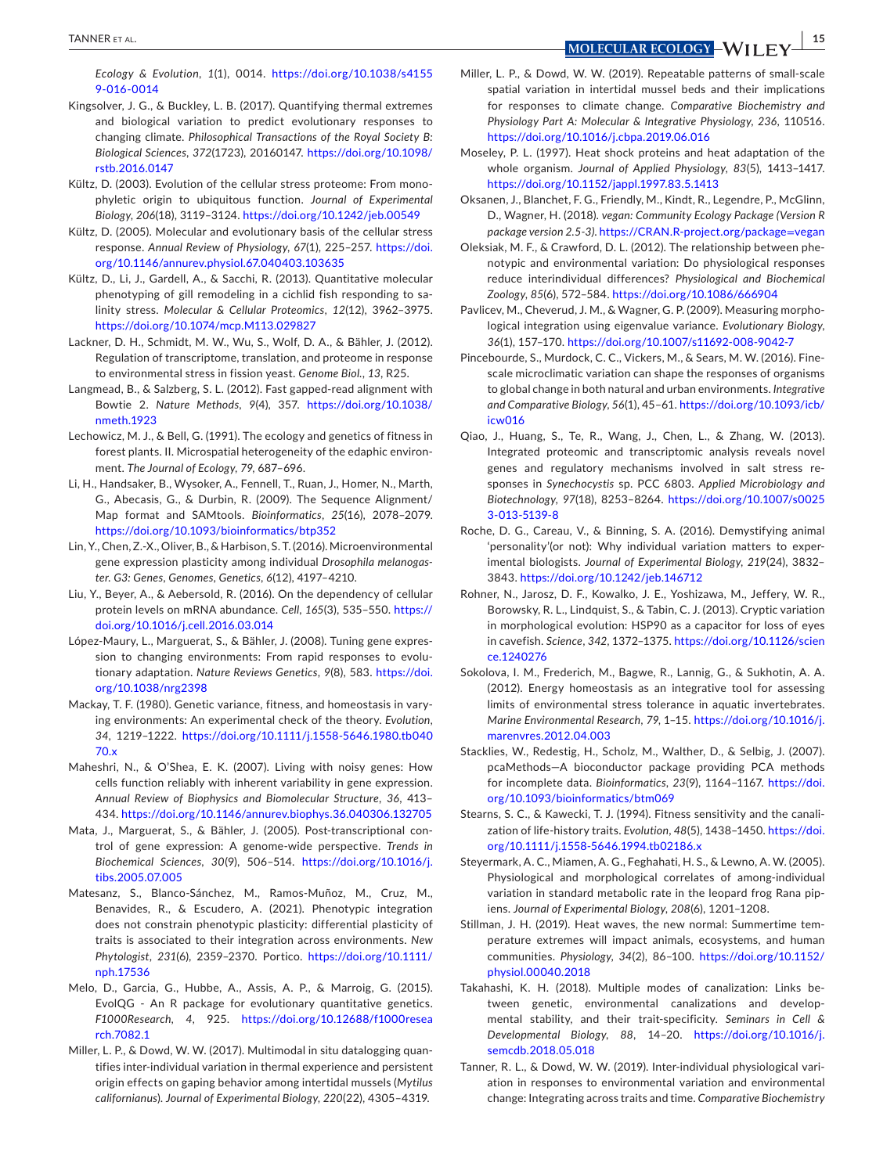**TANNER ET AL.** *MOLECULAR ECOLOGY* MILLER STATES AND THE SECTION OF THE SECTION OF THE SECTION OF THE SECTION OF THE SECTION OF THE SECTION OF THE SECTION OF THE SECTION OF THE SECTION OF THE SECTION OF THE SECTION OF

*Ecology & Evolution*, *1*(1), 0014. [https://doi.org/10.1038/s4155](https://doi.org/10.1038/s41559-016-0014) [9-016-0014](https://doi.org/10.1038/s41559-016-0014)

- <span id="page-14-9"></span>Kingsolver, J. G., & Buckley, L. B. (2017). Quantifying thermal extremes and biological variation to predict evolutionary responses to changing climate. *Philosophical Transactions of the Royal Society B: Biological Sciences*, *372*(1723), 20160147. [https://doi.org/10.1098/](https://doi.org/10.1098/rstb.2016.0147) [rstb.2016.0147](https://doi.org/10.1098/rstb.2016.0147)
- <span id="page-14-22"></span>Kültz, D. (2003). Evolution of the cellular stress proteome: From monophyletic origin to ubiquitous function. *Journal of Experimental Biology*, *206*(18), 3119–3124. <https://doi.org/10.1242/jeb.00549>
- <span id="page-14-7"></span>Kültz, D. (2005). Molecular and evolutionary basis of the cellular stress response. *Annual Review of Physiology*, *67*(1), 225–257. [https://doi.](https://doi.org/10.1146/annurev.physiol.67.040403.103635) [org/10.1146/annurev.physiol.67.040403.103635](https://doi.org/10.1146/annurev.physiol.67.040403.103635)
- <span id="page-14-19"></span>Kültz, D., Li, J., Gardell, A., & Sacchi, R. (2013). Quantitative molecular phenotyping of gill remodeling in a cichlid fish responding to salinity stress. *Molecular & Cellular Proteomics*, *12*(12), 3962–3975. <https://doi.org/10.1074/mcp.M113.029827>
- <span id="page-14-13"></span>Lackner, D. H., Schmidt, M. W., Wu, S., Wolf, D. A., & Bähler, J. (2012). Regulation of transcriptome, translation, and proteome in response to environmental stress in fission yeast. *Genome Biol.*, *13*, R25.
- <span id="page-14-17"></span>Langmead, B., & Salzberg, S. L. (2012). Fast gapped-read alignment with Bowtie 2. *Nature Methods*, *9*(4), 357. [https://doi.org/10.1038/](https://doi.org/10.1038/nmeth.1923) [nmeth.1923](https://doi.org/10.1038/nmeth.1923)
- <span id="page-14-2"></span>Lechowicz, M. J., & Bell, G. (1991). The ecology and genetics of fitness in forest plants. II. Microspatial heterogeneity of the edaphic environment. *The Journal of Ecology*, *79*, 687–696.
- <span id="page-14-18"></span>Li, H., Handsaker, B., Wysoker, A., Fennell, T., Ruan, J., Homer, N., Marth, G., Abecasis, G., & Durbin, R. (2009). The Sequence Alignment/ Map format and SAMtools. *Bioinformatics*, *25*(16), 2078–2079. <https://doi.org/10.1093/bioinformatics/btp352>
- <span id="page-14-10"></span>Lin, Y., Chen, Z.-X., Oliver, B., & Harbison, S. T. (2016). Microenvironmental gene expression plasticity among individual *Drosophila melanogaster*. *G3: Genes, Genomes, Genetics*, *6*(12), 4197–4210.
- <span id="page-14-12"></span>Liu, Y., Beyer, A., & Aebersold, R. (2016). On the dependency of cellular protein levels on mRNA abundance. *Cell*, *165*(3), 535–550. [https://](https://doi.org/10.1016/j.cell.2016.03.014) [doi.org/10.1016/j.cell.2016.03.014](https://doi.org/10.1016/j.cell.2016.03.014)
- <span id="page-14-0"></span>López-Maury, L., Marguerat, S., & Bähler, J. (2008). Tuning gene expression to changing environments: From rapid responses to evolutionary adaptation. *Nature Reviews Genetics*, *9*(8), 583. [https://doi.](https://doi.org/10.1038/nrg2398) [org/10.1038/nrg2398](https://doi.org/10.1038/nrg2398)
- <span id="page-14-3"></span>Mackay, T. F. (1980). Genetic variance, fitness, and homeostasis in varying environments: An experimental check of the theory. *Evolution*, *34*, 1219–1222. [https://doi.org/10.1111/j.1558-5646.1980.tb040](https://doi.org/10.1111/j.1558-5646.1980.tb04070.x) [70.x](https://doi.org/10.1111/j.1558-5646.1980.tb04070.x)
- <span id="page-14-14"></span>Maheshri, N., & O'Shea, E. K. (2007). Living with noisy genes: How cells function reliably with inherent variability in gene expression. *Annual Review of Biophysics and Biomolecular Structure*, *36*, 413– 434. <https://doi.org/10.1146/annurev.biophys.36.040306.132705>
- <span id="page-14-31"></span>Mata, J., Marguerat, S., & Bähler, J. (2005). Post-transcriptional control of gene expression: A genome-wide perspective. *Trends in Biochemical Sciences*, *30*(9), 506–514. [https://doi.org/10.1016/j.](https://doi.org/10.1016/j.tibs.2005.07.005) [tibs.2005.07.005](https://doi.org/10.1016/j.tibs.2005.07.005)
- <span id="page-14-24"></span>Matesanz, S., Blanco-Sánchez, M., Ramos-Muñoz, M., Cruz, M., Benavides, R., & Escudero, A. (2021). Phenotypic integration does not constrain phenotypic plasticity: differential plasticity of traits is associated to their integration across environments. *New Phytologist*, *231*(6), 2359–2370. Portico. [https://doi.org/10.1111/](https://doi.org/10.1111/nph.17536) [nph.17536](https://doi.org/10.1111/nph.17536)
- <span id="page-14-26"></span>Melo, D., Garcia, G., Hubbe, A., Assis, A. P., & Marroig, G. (2015). EvolQG - An R package for evolutionary quantitative genetics. *F1000Research*, *4*, 925. [https://doi.org/10.12688/f1000resea](https://doi.org/10.12688/f1000research.7082.1) [rch.7082.1](https://doi.org/10.12688/f1000research.7082.1)
- <span id="page-14-15"></span>Miller, L. P., & Dowd, W. W. (2017). Multimodal in situ datalogging quantifies inter-individual variation in thermal experience and persistent origin effects on gaping behavior among intertidal mussels (*Mytilus californianus*). *Journal of Experimental Biology*, *220*(22), 4305–4319.
- <span id="page-14-16"></span>Miller, L. P., & Dowd, W. W. (2019). Repeatable patterns of small-scale spatial variation in intertidal mussel beds and their implications for responses to climate change. *Comparative Biochemistry and Physiology Part A: Molecular & Integrative Physiology*, *236*, 110516. <https://doi.org/10.1016/j.cbpa.2019.06.016>
- <span id="page-14-30"></span>Moseley, P. L. (1997). Heat shock proteins and heat adaptation of the whole organism. *Journal of Applied Physiology*, *83*(5), 1413–1417. <https://doi.org/10.1152/jappl.1997.83.5.1413>
- <span id="page-14-27"></span>Oksanen, J., Blanchet, F. G., Friendly, M., Kindt, R., Legendre, P., McGlinn, D., Wagner, H. (2018). *vegan: Community Ecology Package (Version R package version 2.5-3)*. [https://CRAN.R-project.org/package](https://CRAN.R-project.org/package=vegan)=vegan
- <span id="page-14-1"></span>Oleksiak, M. F., & Crawford, D. L. (2012). The relationship between phenotypic and environmental variation: Do physiological responses reduce interindividual differences? *Physiological and Biochemical Zoology*, *85*(6), 572–584.<https://doi.org/10.1086/666904>
- <span id="page-14-25"></span>Pavlicev, M., Cheverud, J. M., & Wagner, G. P. (2009). Measuring morphological integration using eigenvalue variance. *Evolutionary Biology*, *36*(1), 157–170.<https://doi.org/10.1007/s11692-008-9042-7>
- <span id="page-14-4"></span>Pincebourde, S., Murdock, C. C., Vickers, M., & Sears, M. W. (2016). Finescale microclimatic variation can shape the responses of organisms to global change in both natural and urban environments. *Integrative and Comparative Biology*, *56*(1), 45–61. [https://doi.org/10.1093/icb/](https://doi.org/10.1093/icb/icw016) [icw016](https://doi.org/10.1093/icb/icw016)
- <span id="page-14-23"></span>Qiao, J., Huang, S., Te, R., Wang, J., Chen, L., & Zhang, W. (2013). Integrated proteomic and transcriptomic analysis reveals novel genes and regulatory mechanisms involved in salt stress responses in *Synechocystis* sp. PCC 6803. *Applied Microbiology and Biotechnology*, *97*(18), 8253–8264. [https://doi.org/10.1007/s0025](https://doi.org/10.1007/s00253-013-5139-8) [3-013-5139-8](https://doi.org/10.1007/s00253-013-5139-8)
- <span id="page-14-28"></span>Roche, D. G., Careau, V., & Binning, S. A. (2016). Demystifying animal 'personality'(or not): Why individual variation matters to experimental biologists. *Journal of Experimental Biology*, *219*(24), 3832– 3843. <https://doi.org/10.1242/jeb.146712>
- <span id="page-14-8"></span>Rohner, N., Jarosz, D. F., Kowalko, J. E., Yoshizawa, M., Jeffery, W. R., Borowsky, R. L., Lindquist, S., & Tabin, C. J. (2013). Cryptic variation in morphological evolution: HSP90 as a capacitor for loss of eyes in cavefish. *Science*, *342*, 1372–1375. [https://doi.org/10.1126/scien](https://doi.org/10.1126/science.1240276) [ce.1240276](https://doi.org/10.1126/science.1240276)
- <span id="page-14-21"></span>Sokolova, I. M., Frederich, M., Bagwe, R., Lannig, G., & Sukhotin, A. A. (2012). Energy homeostasis as an integrative tool for assessing limits of environmental stress tolerance in aquatic invertebrates. *Marine Environmental Research*, *79*, 1–15. [https://doi.org/10.1016/j.](https://doi.org/10.1016/j.marenvres.2012.04.003) [marenvres.2012.04.003](https://doi.org/10.1016/j.marenvres.2012.04.003)
- <span id="page-14-20"></span>Stacklies, W., Redestig, H., Scholz, M., Walther, D., & Selbig, J. (2007). pcaMethods—A bioconductor package providing PCA methods for incomplete data. *Bioinformatics*, *23*(9), 1164–1167. [https://doi.](https://doi.org/10.1093/bioinformatics/btm069) [org/10.1093/bioinformatics/btm069](https://doi.org/10.1093/bioinformatics/btm069)
- <span id="page-14-5"></span>Stearns, S. C., & Kawecki, T. J. (1994). Fitness sensitivity and the canalization of life-history traits. *Evolution*, *48*(5), 1438–1450. [https://doi.](https://doi.org/10.1111/j.1558-5646.1994.tb02186.x) [org/10.1111/j.1558-5646.1994.tb02186.x](https://doi.org/10.1111/j.1558-5646.1994.tb02186.x)
- <span id="page-14-11"></span>Steyermark, A. C., Miamen, A. G., Feghahati, H. S., & Lewno, A. W. (2005). Physiological and morphological correlates of among-individual variation in standard metabolic rate in the leopard frog Rana pipiens. *Journal of Experimental Biology*, *208*(6), 1201–1208.
- <span id="page-14-32"></span>Stillman, J. H. (2019). Heat waves, the new normal: Summertime temperature extremes will impact animals, ecosystems, and human communities. *Physiology*, *34*(2), 86–100. [https://doi.org/10.1152/](https://doi.org/10.1152/physiol.00040.2018) [physiol.00040.2018](https://doi.org/10.1152/physiol.00040.2018)
- <span id="page-14-29"></span>Takahashi, K. H. (2018). Multiple modes of canalization: Links between genetic, environmental canalizations and developmental stability, and their trait-specificity. *Seminars in Cell & Developmental Biology*, *88*, 14–20. [https://doi.org/10.1016/j.](https://doi.org/10.1016/j.semcdb.2018.05.018) [semcdb.2018.05.018](https://doi.org/10.1016/j.semcdb.2018.05.018)
- <span id="page-14-6"></span>Tanner, R. L., & Dowd, W. W. (2019). Inter-individual physiological variation in responses to environmental variation and environmental change: Integrating across traits and time. *Comparative Biochemistry*